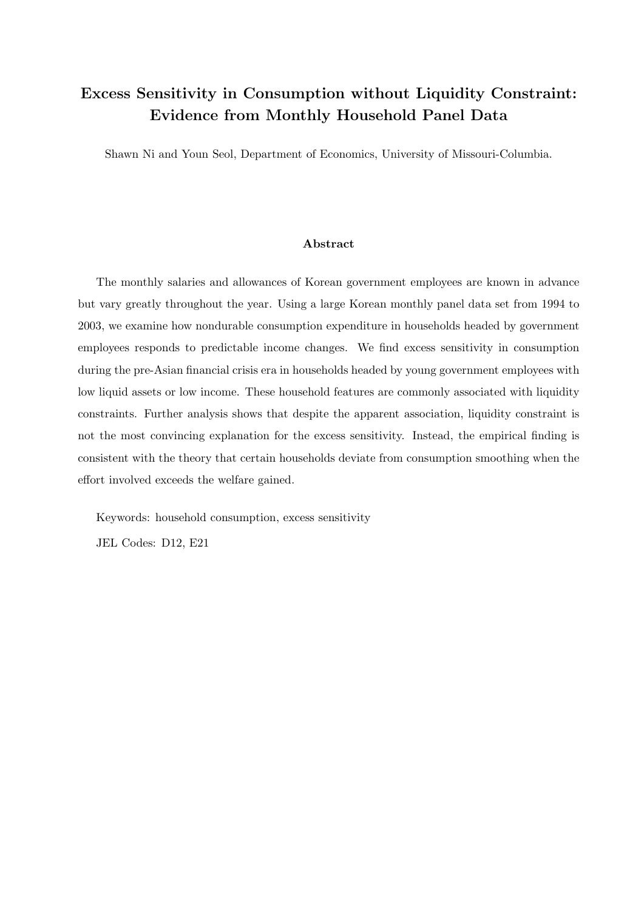# Excess Sensitivity in Consumption without Liquidity Constraint: Evidence from Monthly Household Panel Data

Shawn Ni and Youn Seol, Department of Economics, University of Missouri-Columbia.

## Abstract

The monthly salaries and allowances of Korean government employees are known in advance but vary greatly throughout the year. Using a large Korean monthly panel data set from 1994 to 2003, we examine how nondurable consumption expenditure in households headed by government employees responds to predictable income changes. We find excess sensitivity in consumption during the pre-Asian financial crisis era in households headed by young government employees with low liquid assets or low income. These household features are commonly associated with liquidity constraints. Further analysis shows that despite the apparent association, liquidity constraint is not the most convincing explanation for the excess sensitivity. Instead, the empirical finding is consistent with the theory that certain households deviate from consumption smoothing when the effort involved exceeds the welfare gained.

Keywords: household consumption, excess sensitivity

JEL Codes: D12, E21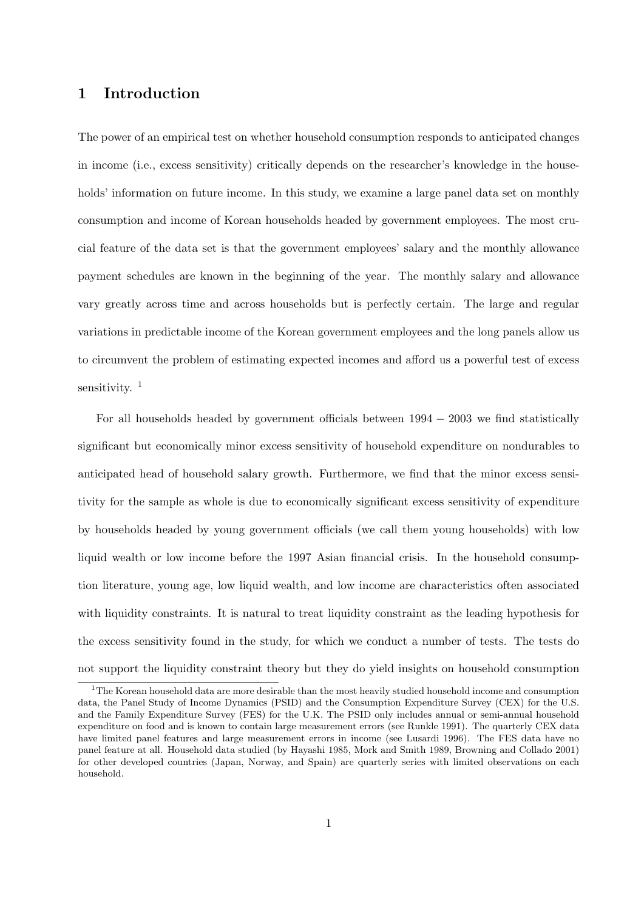# 1 Introduction

The power of an empirical test on whether household consumption responds to anticipated changes in income (i.e., excess sensitivity) critically depends on the researcher's knowledge in the households' information on future income. In this study, we examine a large panel data set on monthly consumption and income of Korean households headed by government employees. The most crucial feature of the data set is that the government employees' salary and the monthly allowance payment schedules are known in the beginning of the year. The monthly salary and allowance vary greatly across time and across households but is perfectly certain. The large and regular variations in predictable income of the Korean government employees and the long panels allow us to circumvent the problem of estimating expected incomes and afford us a powerful test of excess sensitivity.  $1$ 

For all households headed by government officials between  $1994 - 2003$  we find statistically significant but economically minor excess sensitivity of household expenditure on nondurables to anticipated head of household salary growth. Furthermore, we find that the minor excess sensitivity for the sample as whole is due to economically significant excess sensitivity of expenditure by households headed by young government officials (we call them young households) with low liquid wealth or low income before the 1997 Asian financial crisis. In the household consumption literature, young age, low liquid wealth, and low income are characteristics often associated with liquidity constraints. It is natural to treat liquidity constraint as the leading hypothesis for the excess sensitivity found in the study, for which we conduct a number of tests. The tests do not support the liquidity constraint theory but they do yield insights on household consumption

<sup>&</sup>lt;sup>1</sup>The Korean household data are more desirable than the most heavily studied household income and consumption data, the Panel Study of Income Dynamics (PSID) and the Consumption Expenditure Survey (CEX) for the U.S. and the Family Expenditure Survey (FES) for the U.K. The PSID only includes annual or semi-annual household expenditure on food and is known to contain large measurement errors (see Runkle 1991). The quarterly CEX data have limited panel features and large measurement errors in income (see Lusardi 1996). The FES data have no panel feature at all. Household data studied (by Hayashi 1985, Mork and Smith 1989, Browning and Collado 2001) for other developed countries (Japan, Norway, and Spain) are quarterly series with limited observations on each household.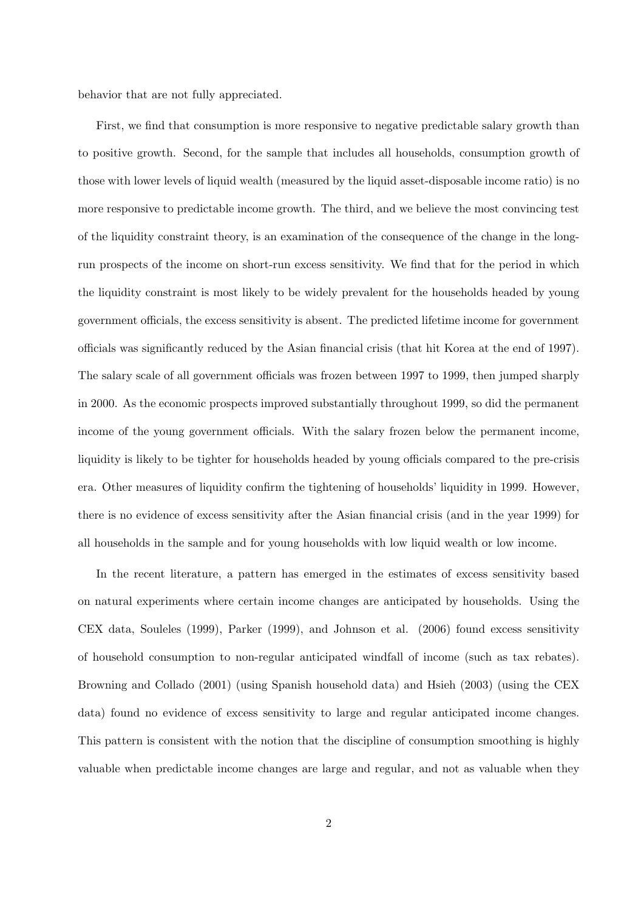behavior that are not fully appreciated.

First, we find that consumption is more responsive to negative predictable salary growth than to positive growth. Second, for the sample that includes all households, consumption growth of those with lower levels of liquid wealth (measured by the liquid asset-disposable income ratio) is no more responsive to predictable income growth. The third, and we believe the most convincing test of the liquidity constraint theory, is an examination of the consequence of the change in the longrun prospects of the income on short-run excess sensitivity. We find that for the period in which the liquidity constraint is most likely to be widely prevalent for the households headed by young government officials, the excess sensitivity is absent. The predicted lifetime income for government officials was significantly reduced by the Asian financial crisis (that hit Korea at the end of 1997). The salary scale of all government officials was frozen between 1997 to 1999, then jumped sharply in 2000. As the economic prospects improved substantially throughout 1999, so did the permanent income of the young government officials. With the salary frozen below the permanent income, liquidity is likely to be tighter for households headed by young officials compared to the pre-crisis era. Other measures of liquidity confirm the tightening of households' liquidity in 1999. However, there is no evidence of excess sensitivity after the Asian financial crisis (and in the year 1999) for all households in the sample and for young households with low liquid wealth or low income.

In the recent literature, a pattern has emerged in the estimates of excess sensitivity based on natural experiments where certain income changes are anticipated by households. Using the CEX data, Souleles (1999), Parker (1999), and Johnson et al. (2006) found excess sensitivity of household consumption to non-regular anticipated windfall of income (such as tax rebates). Browning and Collado (2001) (using Spanish household data) and Hsieh (2003) (using the CEX data) found no evidence of excess sensitivity to large and regular anticipated income changes. This pattern is consistent with the notion that the discipline of consumption smoothing is highly valuable when predictable income changes are large and regular, and not as valuable when they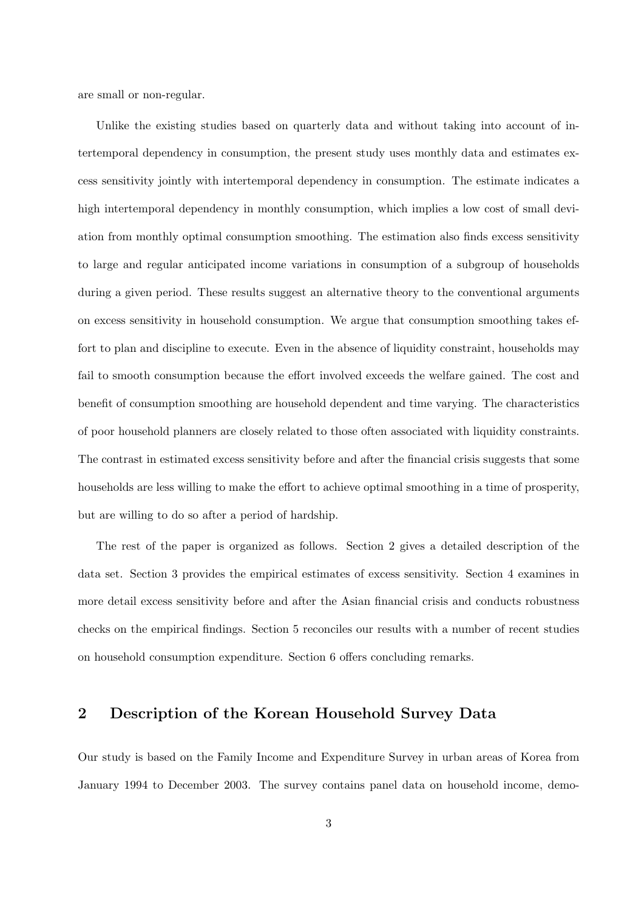are small or non-regular.

Unlike the existing studies based on quarterly data and without taking into account of intertemporal dependency in consumption, the present study uses monthly data and estimates excess sensitivity jointly with intertemporal dependency in consumption. The estimate indicates a high intertemporal dependency in monthly consumption, which implies a low cost of small deviation from monthly optimal consumption smoothing. The estimation also finds excess sensitivity to large and regular anticipated income variations in consumption of a subgroup of households during a given period. These results suggest an alternative theory to the conventional arguments on excess sensitivity in household consumption. We argue that consumption smoothing takes effort to plan and discipline to execute. Even in the absence of liquidity constraint, households may fail to smooth consumption because the effort involved exceeds the welfare gained. The cost and benefit of consumption smoothing are household dependent and time varying. The characteristics of poor household planners are closely related to those often associated with liquidity constraints. The contrast in estimated excess sensitivity before and after the financial crisis suggests that some households are less willing to make the effort to achieve optimal smoothing in a time of prosperity, but are willing to do so after a period of hardship.

The rest of the paper is organized as follows. Section 2 gives a detailed description of the data set. Section 3 provides the empirical estimates of excess sensitivity. Section 4 examines in more detail excess sensitivity before and after the Asian financial crisis and conducts robustness checks on the empirical findings. Section 5 reconciles our results with a number of recent studies on household consumption expenditure. Section 6 offers concluding remarks.

# 2 Description of the Korean Household Survey Data

Our study is based on the Family Income and Expenditure Survey in urban areas of Korea from January 1994 to December 2003. The survey contains panel data on household income, demo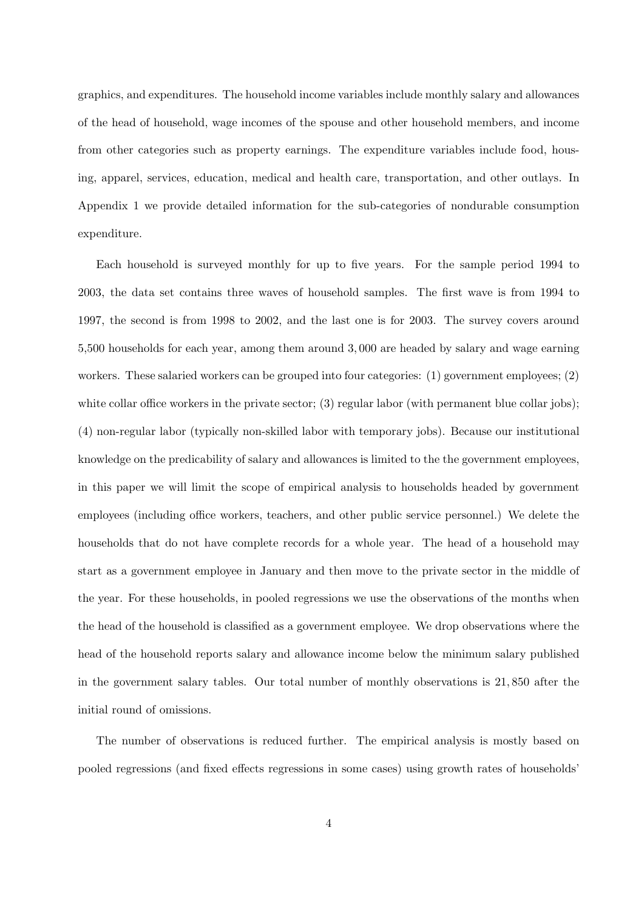graphics, and expenditures. The household income variables include monthly salary and allowances of the head of household, wage incomes of the spouse and other household members, and income from other categories such as property earnings. The expenditure variables include food, housing, apparel, services, education, medical and health care, transportation, and other outlays. In Appendix 1 we provide detailed information for the sub-categories of nondurable consumption expenditure.

Each household is surveyed monthly for up to five years. For the sample period 1994 to 2003, the data set contains three waves of household samples. The first wave is from 1994 to 1997, the second is from 1998 to 2002, and the last one is for 2003. The survey covers around 5,500 households for each year, among them around 3, 000 are headed by salary and wage earning workers. These salaried workers can be grouped into four categories: (1) government employees; (2) white collar office workers in the private sector; (3) regular labor (with permanent blue collar jobs); (4) non-regular labor (typically non-skilled labor with temporary jobs). Because our institutional knowledge on the predicability of salary and allowances is limited to the the government employees, in this paper we will limit the scope of empirical analysis to households headed by government employees (including office workers, teachers, and other public service personnel.) We delete the households that do not have complete records for a whole year. The head of a household may start as a government employee in January and then move to the private sector in the middle of the year. For these households, in pooled regressions we use the observations of the months when the head of the household is classified as a government employee. We drop observations where the head of the household reports salary and allowance income below the minimum salary published in the government salary tables. Our total number of monthly observations is 21, 850 after the initial round of omissions.

The number of observations is reduced further. The empirical analysis is mostly based on pooled regressions (and fixed effects regressions in some cases) using growth rates of households'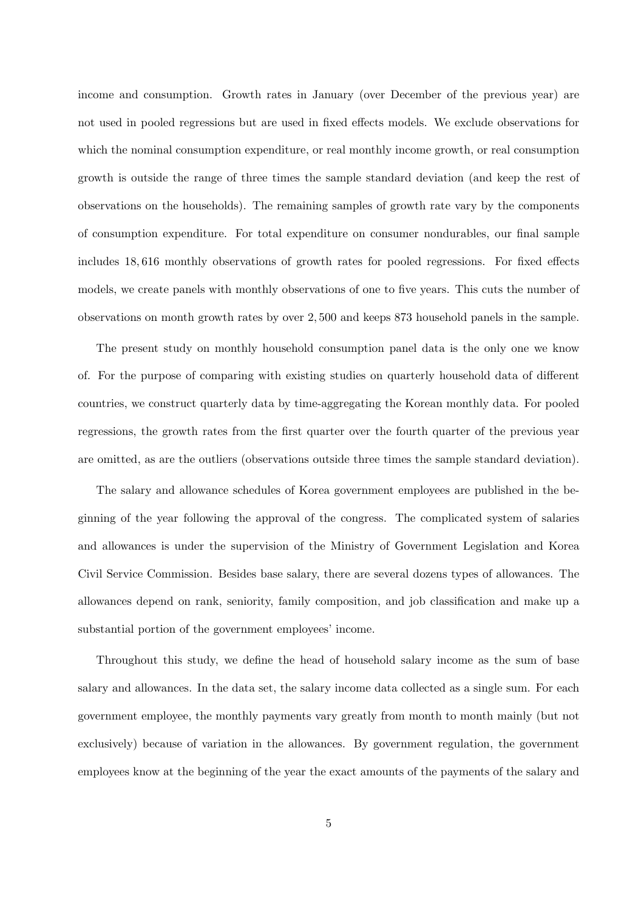income and consumption. Growth rates in January (over December of the previous year) are not used in pooled regressions but are used in fixed effects models. We exclude observations for which the nominal consumption expenditure, or real monthly income growth, or real consumption growth is outside the range of three times the sample standard deviation (and keep the rest of observations on the households). The remaining samples of growth rate vary by the components of consumption expenditure. For total expenditure on consumer nondurables, our final sample includes 18, 616 monthly observations of growth rates for pooled regressions. For fixed effects models, we create panels with monthly observations of one to five years. This cuts the number of observations on month growth rates by over 2, 500 and keeps 873 household panels in the sample.

The present study on monthly household consumption panel data is the only one we know of. For the purpose of comparing with existing studies on quarterly household data of different countries, we construct quarterly data by time-aggregating the Korean monthly data. For pooled regressions, the growth rates from the first quarter over the fourth quarter of the previous year are omitted, as are the outliers (observations outside three times the sample standard deviation).

The salary and allowance schedules of Korea government employees are published in the beginning of the year following the approval of the congress. The complicated system of salaries and allowances is under the supervision of the Ministry of Government Legislation and Korea Civil Service Commission. Besides base salary, there are several dozens types of allowances. The allowances depend on rank, seniority, family composition, and job classification and make up a substantial portion of the government employees' income.

Throughout this study, we define the head of household salary income as the sum of base salary and allowances. In the data set, the salary income data collected as a single sum. For each government employee, the monthly payments vary greatly from month to month mainly (but not exclusively) because of variation in the allowances. By government regulation, the government employees know at the beginning of the year the exact amounts of the payments of the salary and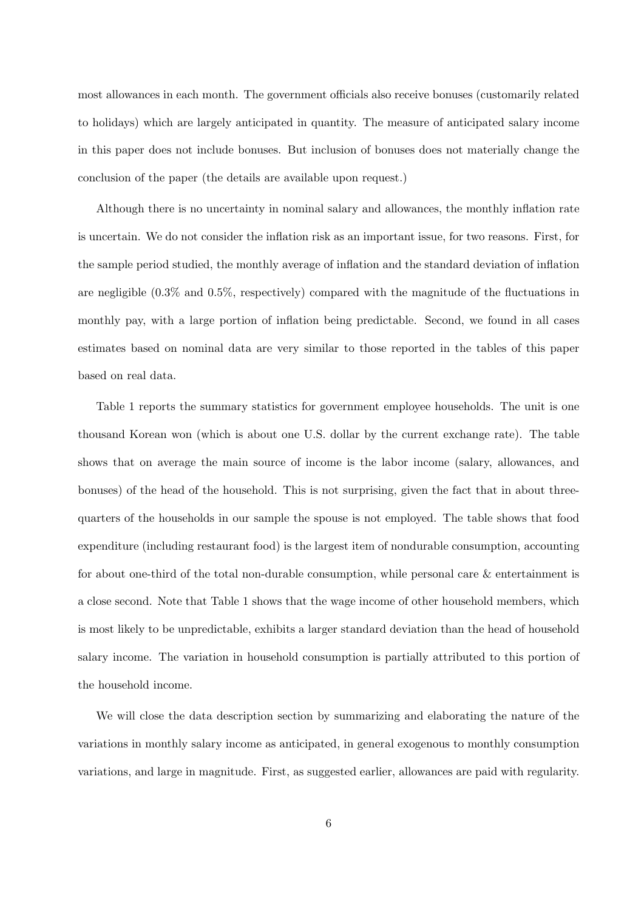most allowances in each month. The government officials also receive bonuses (customarily related to holidays) which are largely anticipated in quantity. The measure of anticipated salary income in this paper does not include bonuses. But inclusion of bonuses does not materially change the conclusion of the paper (the details are available upon request.)

Although there is no uncertainty in nominal salary and allowances, the monthly inflation rate is uncertain. We do not consider the inflation risk as an important issue, for two reasons. First, for the sample period studied, the monthly average of inflation and the standard deviation of inflation are negligible (0.3% and 0.5%, respectively) compared with the magnitude of the fluctuations in monthly pay, with a large portion of inflation being predictable. Second, we found in all cases estimates based on nominal data are very similar to those reported in the tables of this paper based on real data.

Table 1 reports the summary statistics for government employee households. The unit is one thousand Korean won (which is about one U.S. dollar by the current exchange rate). The table shows that on average the main source of income is the labor income (salary, allowances, and bonuses) of the head of the household. This is not surprising, given the fact that in about threequarters of the households in our sample the spouse is not employed. The table shows that food expenditure (including restaurant food) is the largest item of nondurable consumption, accounting for about one-third of the total non-durable consumption, while personal care & entertainment is a close second. Note that Table 1 shows that the wage income of other household members, which is most likely to be unpredictable, exhibits a larger standard deviation than the head of household salary income. The variation in household consumption is partially attributed to this portion of the household income.

We will close the data description section by summarizing and elaborating the nature of the variations in monthly salary income as anticipated, in general exogenous to monthly consumption variations, and large in magnitude. First, as suggested earlier, allowances are paid with regularity.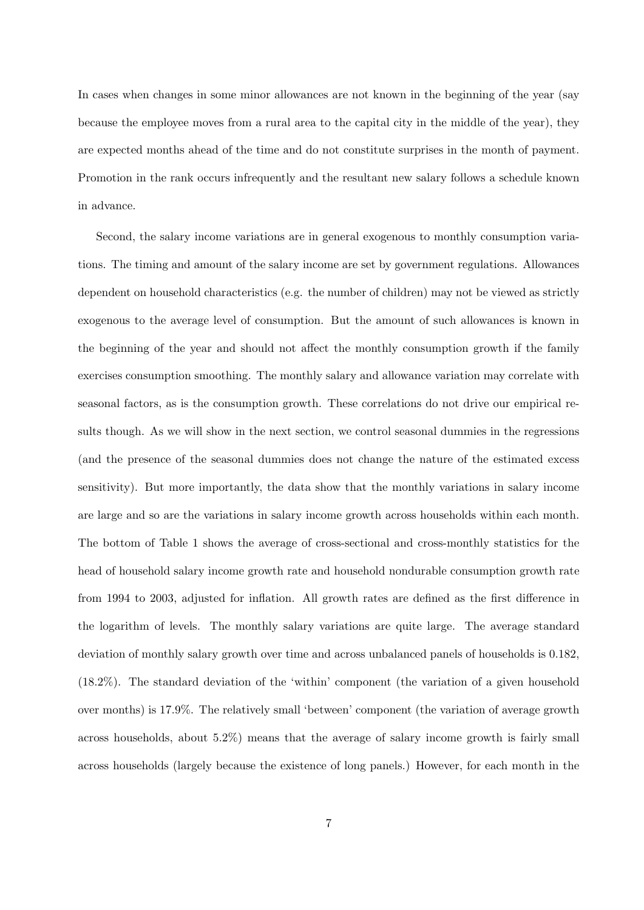In cases when changes in some minor allowances are not known in the beginning of the year (say because the employee moves from a rural area to the capital city in the middle of the year), they are expected months ahead of the time and do not constitute surprises in the month of payment. Promotion in the rank occurs infrequently and the resultant new salary follows a schedule known in advance.

Second, the salary income variations are in general exogenous to monthly consumption variations. The timing and amount of the salary income are set by government regulations. Allowances dependent on household characteristics (e.g. the number of children) may not be viewed as strictly exogenous to the average level of consumption. But the amount of such allowances is known in the beginning of the year and should not affect the monthly consumption growth if the family exercises consumption smoothing. The monthly salary and allowance variation may correlate with seasonal factors, as is the consumption growth. These correlations do not drive our empirical results though. As we will show in the next section, we control seasonal dummies in the regressions (and the presence of the seasonal dummies does not change the nature of the estimated excess sensitivity). But more importantly, the data show that the monthly variations in salary income are large and so are the variations in salary income growth across households within each month. The bottom of Table 1 shows the average of cross-sectional and cross-monthly statistics for the head of household salary income growth rate and household nondurable consumption growth rate from 1994 to 2003, adjusted for inflation. All growth rates are defined as the first difference in the logarithm of levels. The monthly salary variations are quite large. The average standard deviation of monthly salary growth over time and across unbalanced panels of households is 0.182, (18.2%). The standard deviation of the 'within' component (the variation of a given household over months) is 17.9%. The relatively small 'between' component (the variation of average growth across households, about 5.2%) means that the average of salary income growth is fairly small across households (largely because the existence of long panels.) However, for each month in the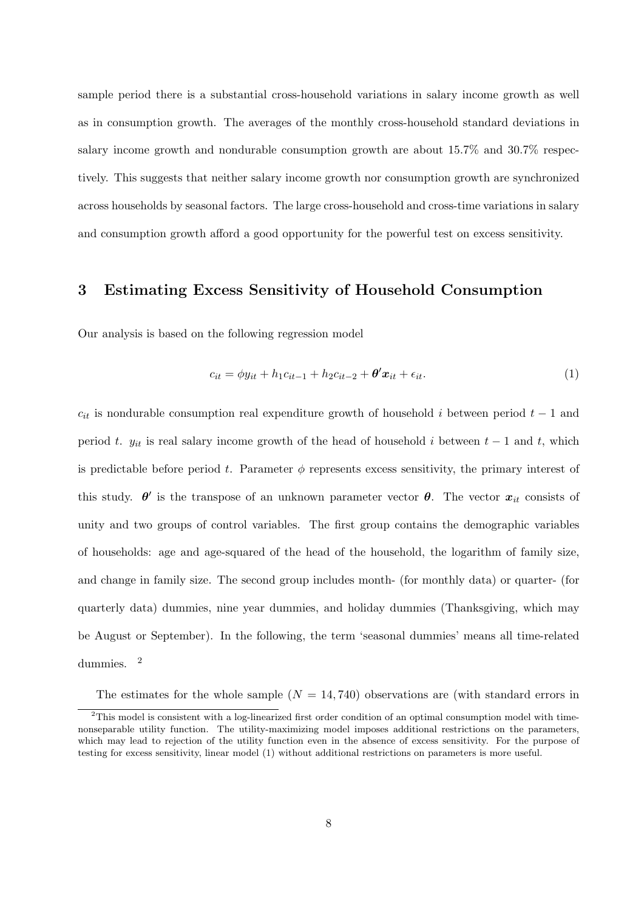sample period there is a substantial cross-household variations in salary income growth as well as in consumption growth. The averages of the monthly cross-household standard deviations in salary income growth and nondurable consumption growth are about 15.7% and 30.7% respectively. This suggests that neither salary income growth nor consumption growth are synchronized across households by seasonal factors. The large cross-household and cross-time variations in salary and consumption growth afford a good opportunity for the powerful test on excess sensitivity.

# 3 Estimating Excess Sensitivity of Household Consumption

Our analysis is based on the following regression model

$$
c_{it} = \phi y_{it} + h_1 c_{it-1} + h_2 c_{it-2} + \theta' x_{it} + \epsilon_{it}.
$$
\n
$$
\tag{1}
$$

 $c_{it}$  is nondurable consumption real expenditure growth of household i between period  $t-1$  and period t.  $y_{it}$  is real salary income growth of the head of household i between  $t - 1$  and t, which is predictable before period t. Parameter  $\phi$  represents excess sensitivity, the primary interest of this study.  $\theta'$  is the transpose of an unknown parameter vector  $\theta$ . The vector  $x_{it}$  consists of unity and two groups of control variables. The first group contains the demographic variables of households: age and age-squared of the head of the household, the logarithm of family size, and change in family size. The second group includes month- (for monthly data) or quarter- (for quarterly data) dummies, nine year dummies, and holiday dummies (Thanksgiving, which may be August or September). In the following, the term 'seasonal dummies' means all time-related dummies. <sup>2</sup>

The estimates for the whole sample  $(N = 14, 740)$  observations are (with standard errors in

<sup>2</sup>This model is consistent with a log-linearized first order condition of an optimal consumption model with timenonseparable utility function. The utility-maximizing model imposes additional restrictions on the parameters, which may lead to rejection of the utility function even in the absence of excess sensitivity. For the purpose of testing for excess sensitivity, linear model (1) without additional restrictions on parameters is more useful.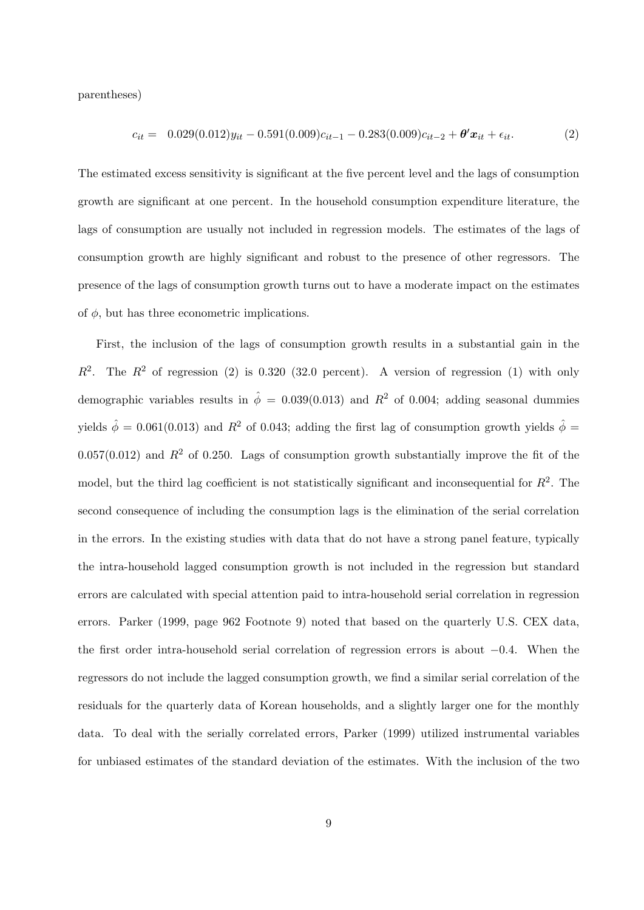parentheses)

$$
c_{it} = 0.029(0.012)y_{it} - 0.591(0.009)c_{it-1} - 0.283(0.009)c_{it-2} + \theta' x_{it} + \epsilon_{it}.
$$
 (2)

The estimated excess sensitivity is significant at the five percent level and the lags of consumption growth are significant at one percent. In the household consumption expenditure literature, the lags of consumption are usually not included in regression models. The estimates of the lags of consumption growth are highly significant and robust to the presence of other regressors. The presence of the lags of consumption growth turns out to have a moderate impact on the estimates of  $\phi$ , but has three econometric implications.

First, the inclusion of the lags of consumption growth results in a substantial gain in the  $R^2$ . The  $R^2$  of regression (2) is 0.320 (32.0 percent). A version of regression (1) with only demographic variables results in  $\hat{\phi} = 0.039(0.013)$  and  $R^2$  of 0.004; adding seasonal dummies yields  $\hat{\phi} = 0.061(0.013)$  and  $R^2$  of 0.043; adding the first lag of consumption growth yields  $\hat{\phi} =$ 0.057(0.012) and  $R^2$  of 0.250. Lags of consumption growth substantially improve the fit of the model, but the third lag coefficient is not statistically significant and inconsequential for  $R^2$ . The second consequence of including the consumption lags is the elimination of the serial correlation in the errors. In the existing studies with data that do not have a strong panel feature, typically the intra-household lagged consumption growth is not included in the regression but standard errors are calculated with special attention paid to intra-household serial correlation in regression errors. Parker (1999, page 962 Footnote 9) noted that based on the quarterly U.S. CEX data, the first order intra-household serial correlation of regression errors is about −0.4. When the regressors do not include the lagged consumption growth, we find a similar serial correlation of the residuals for the quarterly data of Korean households, and a slightly larger one for the monthly data. To deal with the serially correlated errors, Parker (1999) utilized instrumental variables for unbiased estimates of the standard deviation of the estimates. With the inclusion of the two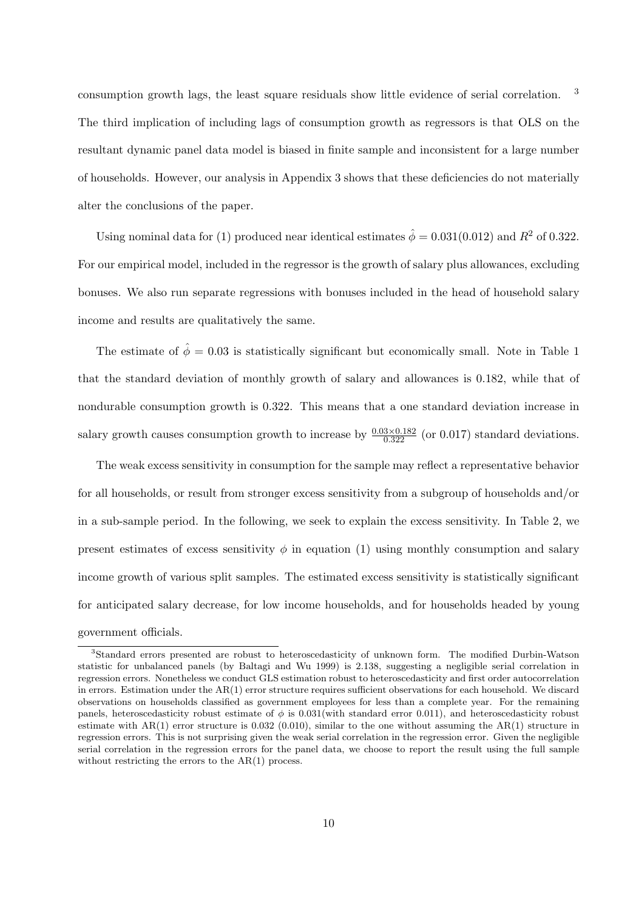consumption growth lags, the least square residuals show little evidence of serial correlation. <sup>3</sup> The third implication of including lags of consumption growth as regressors is that OLS on the resultant dynamic panel data model is biased in finite sample and inconsistent for a large number of households. However, our analysis in Appendix 3 shows that these deficiencies do not materially alter the conclusions of the paper.

Using nominal data for (1) produced near identical estimates  $\hat{\phi} = 0.031(0.012)$  and  $R^2$  of 0.322. For our empirical model, included in the regressor is the growth of salary plus allowances, excluding bonuses. We also run separate regressions with bonuses included in the head of household salary income and results are qualitatively the same.

The estimate of  $\hat{\phi} = 0.03$  is statistically significant but economically small. Note in Table 1 that the standard deviation of monthly growth of salary and allowances is 0.182, while that of nondurable consumption growth is 0.322. This means that a one standard deviation increase in salary growth causes consumption growth to increase by  $\frac{0.03 \times 0.182}{0.322}$  (or 0.017) standard deviations.

The weak excess sensitivity in consumption for the sample may reflect a representative behavior for all households, or result from stronger excess sensitivity from a subgroup of households and/or in a sub-sample period. In the following, we seek to explain the excess sensitivity. In Table 2, we present estimates of excess sensitivity  $\phi$  in equation (1) using monthly consumption and salary income growth of various split samples. The estimated excess sensitivity is statistically significant for anticipated salary decrease, for low income households, and for households headed by young government officials.

<sup>3</sup>Standard errors presented are robust to heteroscedasticity of unknown form. The modified Durbin-Watson statistic for unbalanced panels (by Baltagi and Wu 1999) is 2.138, suggesting a negligible serial correlation in regression errors. Nonetheless we conduct GLS estimation robust to heteroscedasticity and first order autocorrelation in errors. Estimation under the AR(1) error structure requires sufficient observations for each household. We discard observations on households classified as government employees for less than a complete year. For the remaining panels, heteroscedasticity robust estimate of  $\phi$  is 0.031(with standard error 0.011), and heteroscedasticity robust estimate with AR(1) error structure is 0.032 (0.010), similar to the one without assuming the AR(1) structure in regression errors. This is not surprising given the weak serial correlation in the regression error. Given the negligible serial correlation in the regression errors for the panel data, we choose to report the result using the full sample without restricting the errors to the AR(1) process.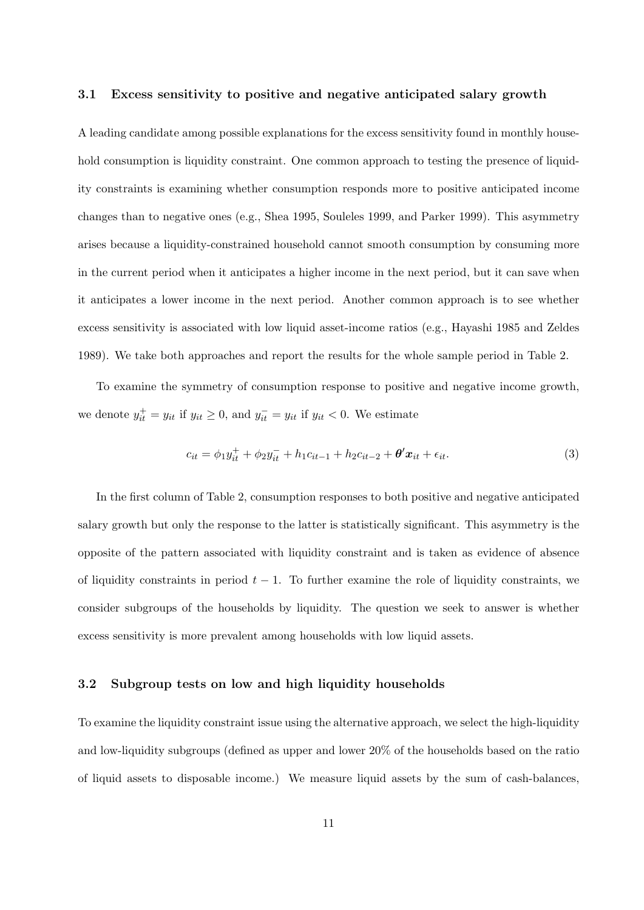### 3.1 Excess sensitivity to positive and negative anticipated salary growth

A leading candidate among possible explanations for the excess sensitivity found in monthly household consumption is liquidity constraint. One common approach to testing the presence of liquidity constraints is examining whether consumption responds more to positive anticipated income changes than to negative ones (e.g., Shea 1995, Souleles 1999, and Parker 1999). This asymmetry arises because a liquidity-constrained household cannot smooth consumption by consuming more in the current period when it anticipates a higher income in the next period, but it can save when it anticipates a lower income in the next period. Another common approach is to see whether excess sensitivity is associated with low liquid asset-income ratios (e.g., Hayashi 1985 and Zeldes 1989). We take both approaches and report the results for the whole sample period in Table 2.

To examine the symmetry of consumption response to positive and negative income growth, we denote  $y_{it}^+ = y_{it}$  if  $y_{it} \ge 0$ , and  $y_{it}^- = y_{it}$  if  $y_{it} < 0$ . We estimate

$$
c_{it} = \phi_1 y_{it}^+ + \phi_2 y_{it}^- + h_1 c_{it-1} + h_2 c_{it-2} + \theta' x_{it} + \epsilon_{it}.
$$
\n(3)

In the first column of Table 2, consumption responses to both positive and negative anticipated salary growth but only the response to the latter is statistically significant. This asymmetry is the opposite of the pattern associated with liquidity constraint and is taken as evidence of absence of liquidity constraints in period  $t - 1$ . To further examine the role of liquidity constraints, we consider subgroups of the households by liquidity. The question we seek to answer is whether excess sensitivity is more prevalent among households with low liquid assets.

## 3.2 Subgroup tests on low and high liquidity households

To examine the liquidity constraint issue using the alternative approach, we select the high-liquidity and low-liquidity subgroups (defined as upper and lower 20% of the households based on the ratio of liquid assets to disposable income.) We measure liquid assets by the sum of cash-balances,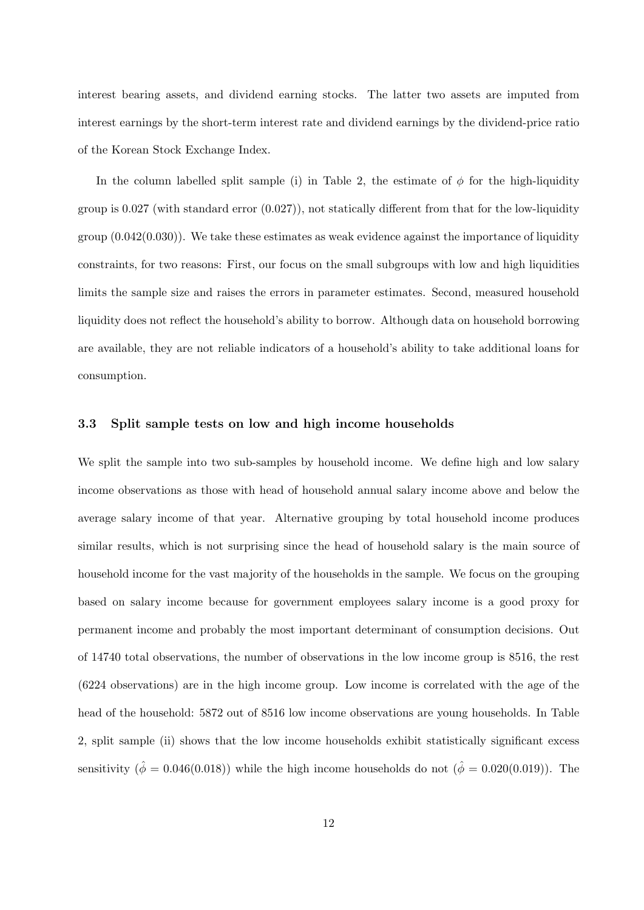interest bearing assets, and dividend earning stocks. The latter two assets are imputed from interest earnings by the short-term interest rate and dividend earnings by the dividend-price ratio of the Korean Stock Exchange Index.

In the column labelled split sample (i) in Table 2, the estimate of  $\phi$  for the high-liquidity group is  $0.027$  (with standard error  $(0.027)$ ), not statically different from that for the low-liquidity group  $(0.042(0.030))$ . We take these estimates as weak evidence against the importance of liquidity constraints, for two reasons: First, our focus on the small subgroups with low and high liquidities limits the sample size and raises the errors in parameter estimates. Second, measured household liquidity does not reflect the household's ability to borrow. Although data on household borrowing are available, they are not reliable indicators of a household's ability to take additional loans for consumption.

## 3.3 Split sample tests on low and high income households

We split the sample into two sub-samples by household income. We define high and low salary income observations as those with head of household annual salary income above and below the average salary income of that year. Alternative grouping by total household income produces similar results, which is not surprising since the head of household salary is the main source of household income for the vast majority of the households in the sample. We focus on the grouping based on salary income because for government employees salary income is a good proxy for permanent income and probably the most important determinant of consumption decisions. Out of 14740 total observations, the number of observations in the low income group is 8516, the rest (6224 observations) are in the high income group. Low income is correlated with the age of the head of the household: 5872 out of 8516 low income observations are young households. In Table 2, split sample (ii) shows that the low income households exhibit statistically significant excess sensitivity  $(\hat{\phi} = 0.046(0.018))$  while the high income households do not  $(\hat{\phi} = 0.020(0.019))$ . The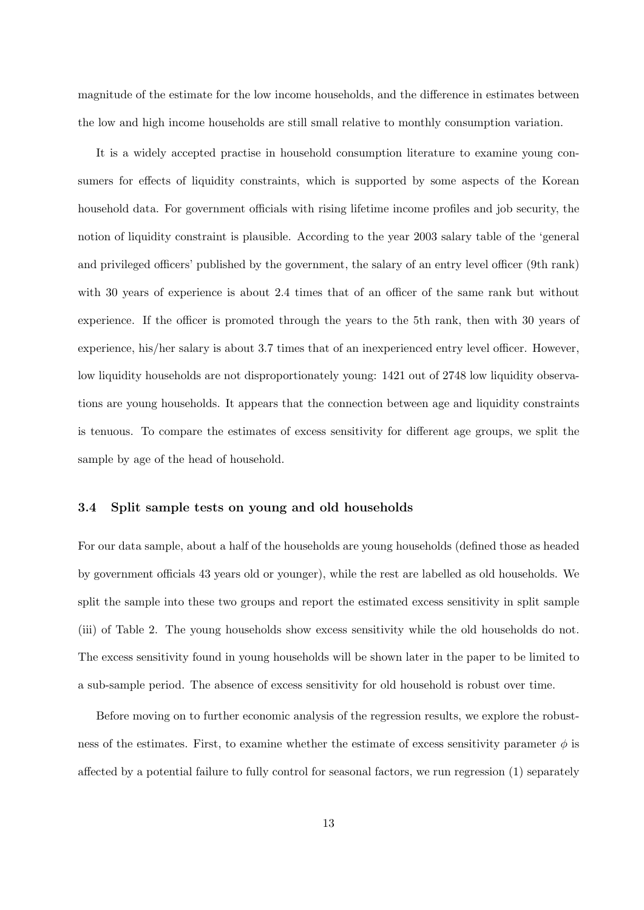magnitude of the estimate for the low income households, and the difference in estimates between the low and high income households are still small relative to monthly consumption variation.

It is a widely accepted practise in household consumption literature to examine young consumers for effects of liquidity constraints, which is supported by some aspects of the Korean household data. For government officials with rising lifetime income profiles and job security, the notion of liquidity constraint is plausible. According to the year 2003 salary table of the 'general and privileged officers' published by the government, the salary of an entry level officer (9th rank) with 30 years of experience is about 2.4 times that of an officer of the same rank but without experience. If the officer is promoted through the years to the 5th rank, then with 30 years of experience, his/her salary is about 3.7 times that of an inexperienced entry level officer. However, low liquidity households are not disproportionately young: 1421 out of 2748 low liquidity observations are young households. It appears that the connection between age and liquidity constraints is tenuous. To compare the estimates of excess sensitivity for different age groups, we split the sample by age of the head of household.

### 3.4 Split sample tests on young and old households

For our data sample, about a half of the households are young households (defined those as headed by government officials 43 years old or younger), while the rest are labelled as old households. We split the sample into these two groups and report the estimated excess sensitivity in split sample (iii) of Table 2. The young households show excess sensitivity while the old households do not. The excess sensitivity found in young households will be shown later in the paper to be limited to a sub-sample period. The absence of excess sensitivity for old household is robust over time.

Before moving on to further economic analysis of the regression results, we explore the robustness of the estimates. First, to examine whether the estimate of excess sensitivity parameter  $\phi$  is affected by a potential failure to fully control for seasonal factors, we run regression (1) separately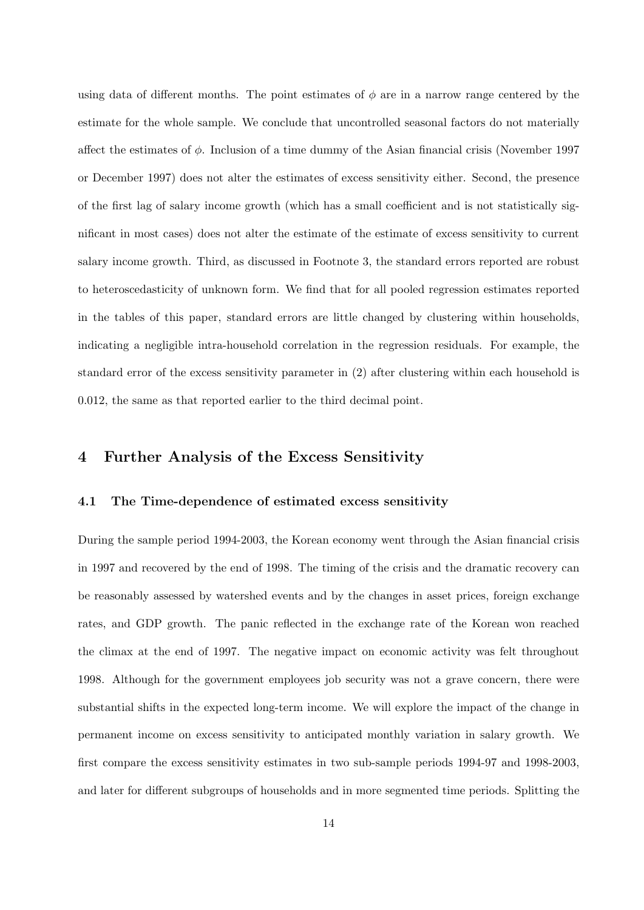using data of different months. The point estimates of  $\phi$  are in a narrow range centered by the estimate for the whole sample. We conclude that uncontrolled seasonal factors do not materially affect the estimates of  $\phi$ . Inclusion of a time dummy of the Asian financial crisis (November 1997) or December 1997) does not alter the estimates of excess sensitivity either. Second, the presence of the first lag of salary income growth (which has a small coefficient and is not statistically significant in most cases) does not alter the estimate of the estimate of excess sensitivity to current salary income growth. Third, as discussed in Footnote 3, the standard errors reported are robust to heteroscedasticity of unknown form. We find that for all pooled regression estimates reported in the tables of this paper, standard errors are little changed by clustering within households, indicating a negligible intra-household correlation in the regression residuals. For example, the standard error of the excess sensitivity parameter in (2) after clustering within each household is 0.012, the same as that reported earlier to the third decimal point.

# 4 Further Analysis of the Excess Sensitivity

## 4.1 The Time-dependence of estimated excess sensitivity

During the sample period 1994-2003, the Korean economy went through the Asian financial crisis in 1997 and recovered by the end of 1998. The timing of the crisis and the dramatic recovery can be reasonably assessed by watershed events and by the changes in asset prices, foreign exchange rates, and GDP growth. The panic reflected in the exchange rate of the Korean won reached the climax at the end of 1997. The negative impact on economic activity was felt throughout 1998. Although for the government employees job security was not a grave concern, there were substantial shifts in the expected long-term income. We will explore the impact of the change in permanent income on excess sensitivity to anticipated monthly variation in salary growth. We first compare the excess sensitivity estimates in two sub-sample periods 1994-97 and 1998-2003, and later for different subgroups of households and in more segmented time periods. Splitting the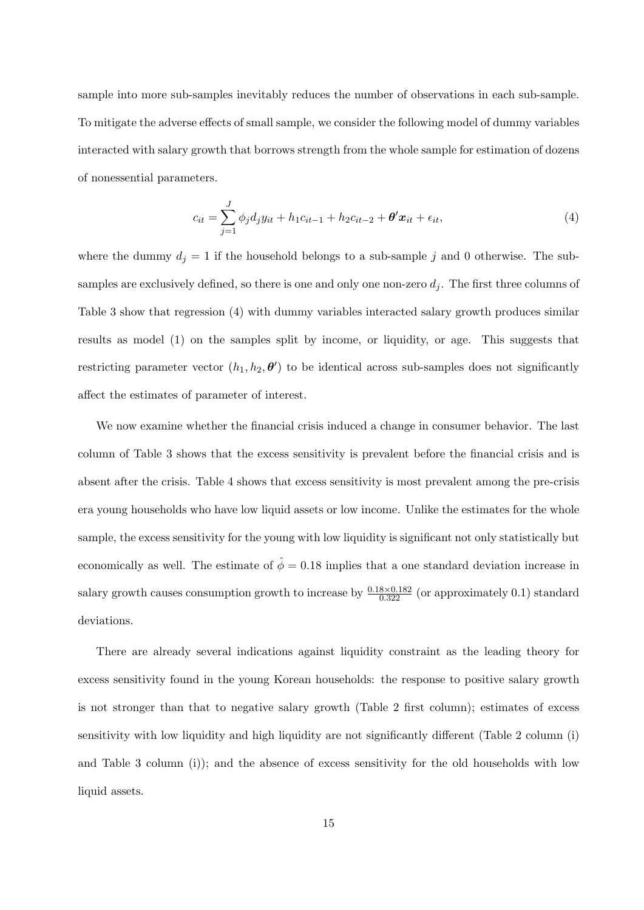sample into more sub-samples inevitably reduces the number of observations in each sub-sample. To mitigate the adverse effects of small sample, we consider the following model of dummy variables interacted with salary growth that borrows strength from the whole sample for estimation of dozens of nonessential parameters.

$$
c_{it} = \sum_{j=1}^{J} \phi_j d_j y_{it} + h_1 c_{it-1} + h_2 c_{it-2} + \theta' x_{it} + \epsilon_{it},
$$
\n(4)

where the dummy  $d_j = 1$  if the household belongs to a sub-sample j and 0 otherwise. The subsamples are exclusively defined, so there is one and only one non-zero  $d_i$ . The first three columns of Table 3 show that regression (4) with dummy variables interacted salary growth produces similar results as model (1) on the samples split by income, or liquidity, or age. This suggests that restricting parameter vector  $(h_1, h_2, \theta')$  to be identical across sub-samples does not significantly affect the estimates of parameter of interest.

We now examine whether the financial crisis induced a change in consumer behavior. The last column of Table 3 shows that the excess sensitivity is prevalent before the financial crisis and is absent after the crisis. Table 4 shows that excess sensitivity is most prevalent among the pre-crisis era young households who have low liquid assets or low income. Unlike the estimates for the whole sample, the excess sensitivity for the young with low liquidity is significant not only statistically but economically as well. The estimate of  $\hat{\phi} = 0.18$  implies that a one standard deviation increase in salary growth causes consumption growth to increase by  $\frac{0.18 \times 0.182}{0.322}$  (or approximately 0.1) standard deviations.

There are already several indications against liquidity constraint as the leading theory for excess sensitivity found in the young Korean households: the response to positive salary growth is not stronger than that to negative salary growth (Table 2 first column); estimates of excess sensitivity with low liquidity and high liquidity are not significantly different (Table 2 column (i) and Table 3 column (i)); and the absence of excess sensitivity for the old households with low liquid assets.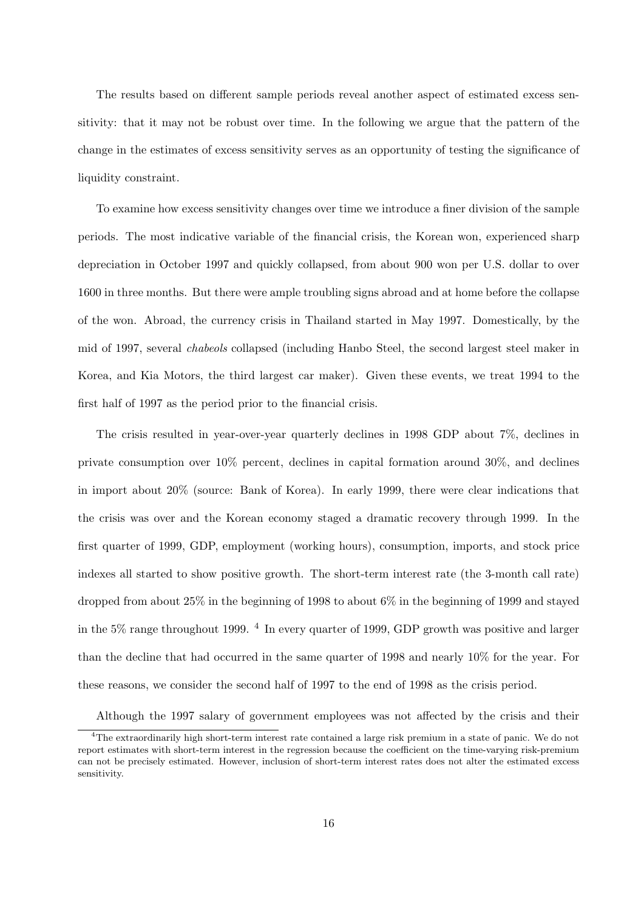The results based on different sample periods reveal another aspect of estimated excess sensitivity: that it may not be robust over time. In the following we argue that the pattern of the change in the estimates of excess sensitivity serves as an opportunity of testing the significance of liquidity constraint.

To examine how excess sensitivity changes over time we introduce a finer division of the sample periods. The most indicative variable of the financial crisis, the Korean won, experienced sharp depreciation in October 1997 and quickly collapsed, from about 900 won per U.S. dollar to over 1600 in three months. But there were ample troubling signs abroad and at home before the collapse of the won. Abroad, the currency crisis in Thailand started in May 1997. Domestically, by the mid of 1997, several chabeols collapsed (including Hanbo Steel, the second largest steel maker in Korea, and Kia Motors, the third largest car maker). Given these events, we treat 1994 to the first half of 1997 as the period prior to the financial crisis.

The crisis resulted in year-over-year quarterly declines in 1998 GDP about 7%, declines in private consumption over 10% percent, declines in capital formation around 30%, and declines in import about 20% (source: Bank of Korea). In early 1999, there were clear indications that the crisis was over and the Korean economy staged a dramatic recovery through 1999. In the first quarter of 1999, GDP, employment (working hours), consumption, imports, and stock price indexes all started to show positive growth. The short-term interest rate (the 3-month call rate) dropped from about 25% in the beginning of 1998 to about 6% in the beginning of 1999 and stayed in the 5% range throughout 1999. <sup>4</sup> In every quarter of 1999, GDP growth was positive and larger than the decline that had occurred in the same quarter of 1998 and nearly 10% for the year. For these reasons, we consider the second half of 1997 to the end of 1998 as the crisis period.

Although the 1997 salary of government employees was not affected by the crisis and their

<sup>&</sup>lt;sup>4</sup>The extraordinarily high short-term interest rate contained a large risk premium in a state of panic. We do not report estimates with short-term interest in the regression because the coefficient on the time-varying risk-premium can not be precisely estimated. However, inclusion of short-term interest rates does not alter the estimated excess sensitivity.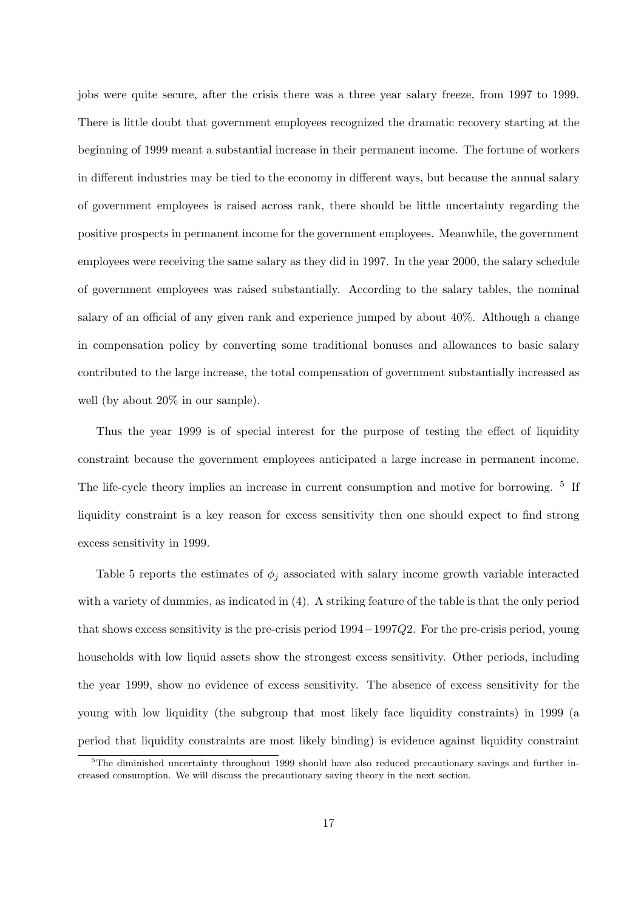jobs were quite secure, after the crisis there was a three year salary freeze, from 1997 to 1999. There is little doubt that government employees recognized the dramatic recovery starting at the beginning of 1999 meant a substantial increase in their permanent income. The fortune of workers in different industries may be tied to the economy in different ways, but because the annual salary of government employees is raised across rank, there should be little uncertainty regarding the positive prospects in permanent income for the government employees. Meanwhile, the government employees were receiving the same salary as they did in 1997. In the year 2000, the salary schedule of government employees was raised substantially. According to the salary tables, the nominal salary of an official of any given rank and experience jumped by about 40%. Although a change in compensation policy by converting some traditional bonuses and allowances to basic salary contributed to the large increase, the total compensation of government substantially increased as well (by about 20% in our sample).

Thus the year 1999 is of special interest for the purpose of testing the effect of liquidity constraint because the government employees anticipated a large increase in permanent income. The life-cycle theory implies an increase in current consumption and motive for borrowing. <sup>5</sup> If liquidity constraint is a key reason for excess sensitivity then one should expect to find strong excess sensitivity in 1999.

Table 5 reports the estimates of  $\phi_i$  associated with salary income growth variable interacted with a variety of dummies, as indicated in (4). A striking feature of the table is that the only period that shows excess sensitivity is the pre-crisis period 1994−1997Q2. For the pre-crisis period, young households with low liquid assets show the strongest excess sensitivity. Other periods, including the year 1999, show no evidence of excess sensitivity. The absence of excess sensitivity for the young with low liquidity (the subgroup that most likely face liquidity constraints) in 1999 (a period that liquidity constraints are most likely binding) is evidence against liquidity constraint

<sup>&</sup>lt;sup>5</sup>The diminished uncertainty throughout 1999 should have also reduced precautionary savings and further increased consumption. We will discuss the precautionary saving theory in the next section.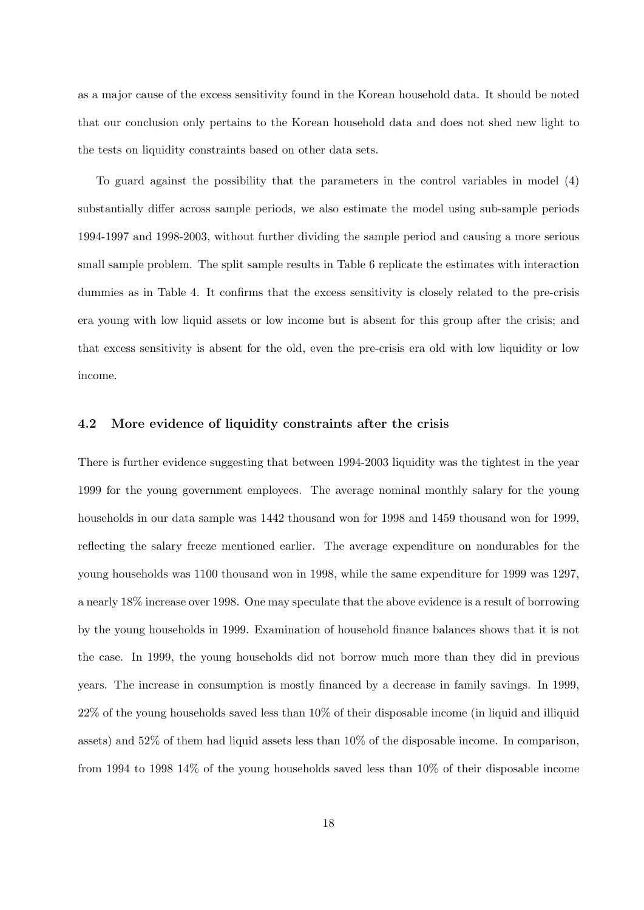as a major cause of the excess sensitivity found in the Korean household data. It should be noted that our conclusion only pertains to the Korean household data and does not shed new light to the tests on liquidity constraints based on other data sets.

To guard against the possibility that the parameters in the control variables in model (4) substantially differ across sample periods, we also estimate the model using sub-sample periods 1994-1997 and 1998-2003, without further dividing the sample period and causing a more serious small sample problem. The split sample results in Table 6 replicate the estimates with interaction dummies as in Table 4. It confirms that the excess sensitivity is closely related to the pre-crisis era young with low liquid assets or low income but is absent for this group after the crisis; and that excess sensitivity is absent for the old, even the pre-crisis era old with low liquidity or low income.

### 4.2 More evidence of liquidity constraints after the crisis

There is further evidence suggesting that between 1994-2003 liquidity was the tightest in the year 1999 for the young government employees. The average nominal monthly salary for the young households in our data sample was 1442 thousand won for 1998 and 1459 thousand won for 1999, reflecting the salary freeze mentioned earlier. The average expenditure on nondurables for the young households was 1100 thousand won in 1998, while the same expenditure for 1999 was 1297, a nearly 18% increase over 1998. One may speculate that the above evidence is a result of borrowing by the young households in 1999. Examination of household finance balances shows that it is not the case. In 1999, the young households did not borrow much more than they did in previous years. The increase in consumption is mostly financed by a decrease in family savings. In 1999, 22% of the young households saved less than 10% of their disposable income (in liquid and illiquid assets) and 52% of them had liquid assets less than 10% of the disposable income. In comparison, from 1994 to 1998 14% of the young households saved less than 10% of their disposable income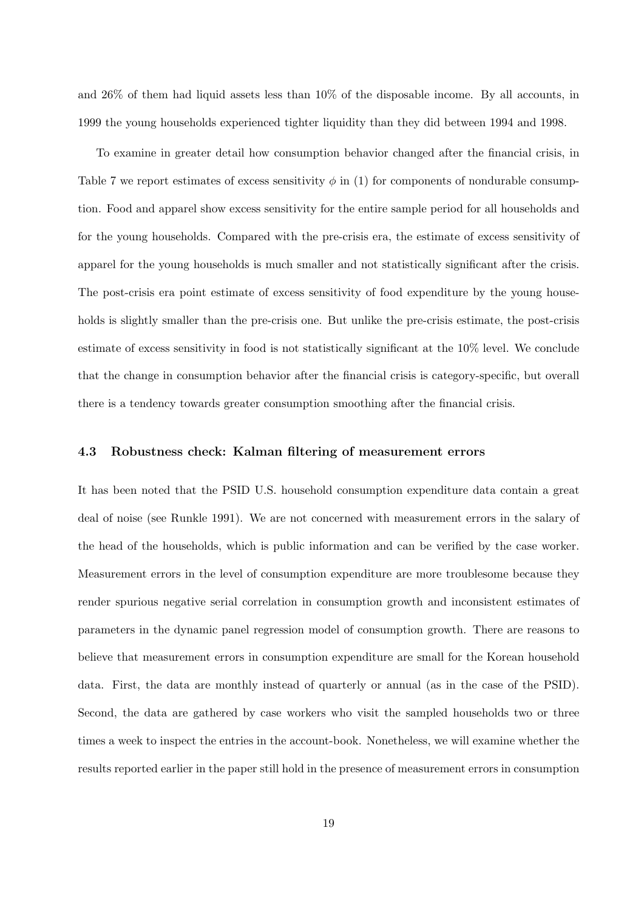and 26% of them had liquid assets less than 10% of the disposable income. By all accounts, in 1999 the young households experienced tighter liquidity than they did between 1994 and 1998.

To examine in greater detail how consumption behavior changed after the financial crisis, in Table 7 we report estimates of excess sensitivity  $\phi$  in (1) for components of nondurable consumption. Food and apparel show excess sensitivity for the entire sample period for all households and for the young households. Compared with the pre-crisis era, the estimate of excess sensitivity of apparel for the young households is much smaller and not statistically significant after the crisis. The post-crisis era point estimate of excess sensitivity of food expenditure by the young households is slightly smaller than the pre-crisis one. But unlike the pre-crisis estimate, the post-crisis estimate of excess sensitivity in food is not statistically significant at the 10% level. We conclude that the change in consumption behavior after the financial crisis is category-specific, but overall there is a tendency towards greater consumption smoothing after the financial crisis.

### 4.3 Robustness check: Kalman filtering of measurement errors

It has been noted that the PSID U.S. household consumption expenditure data contain a great deal of noise (see Runkle 1991). We are not concerned with measurement errors in the salary of the head of the households, which is public information and can be verified by the case worker. Measurement errors in the level of consumption expenditure are more troublesome because they render spurious negative serial correlation in consumption growth and inconsistent estimates of parameters in the dynamic panel regression model of consumption growth. There are reasons to believe that measurement errors in consumption expenditure are small for the Korean household data. First, the data are monthly instead of quarterly or annual (as in the case of the PSID). Second, the data are gathered by case workers who visit the sampled households two or three times a week to inspect the entries in the account-book. Nonetheless, we will examine whether the results reported earlier in the paper still hold in the presence of measurement errors in consumption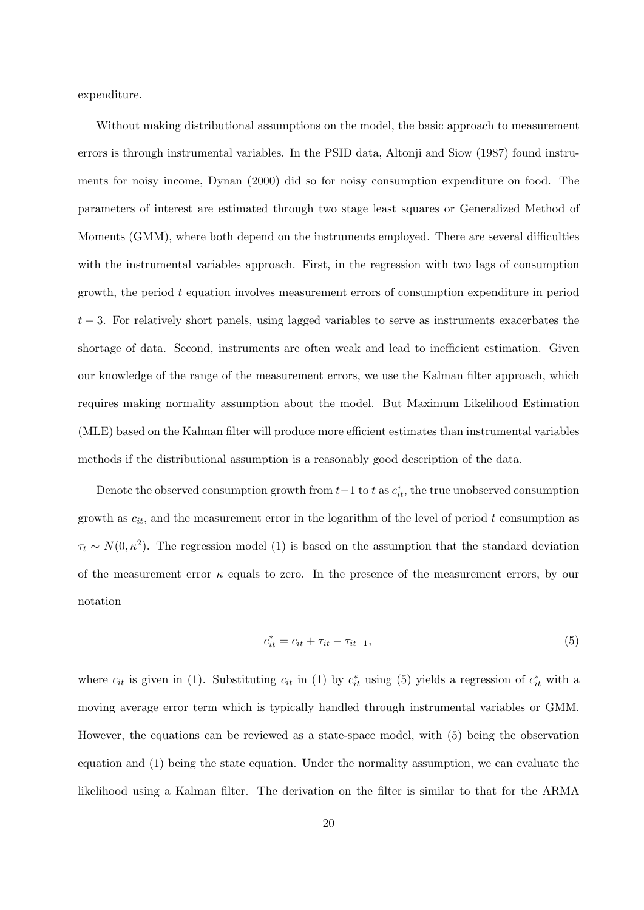expenditure.

Without making distributional assumptions on the model, the basic approach to measurement errors is through instrumental variables. In the PSID data, Altonji and Siow (1987) found instruments for noisy income, Dynan (2000) did so for noisy consumption expenditure on food. The parameters of interest are estimated through two stage least squares or Generalized Method of Moments (GMM), where both depend on the instruments employed. There are several difficulties with the instrumental variables approach. First, in the regression with two lags of consumption growth, the period  $t$  equation involves measurement errors of consumption expenditure in period  $t-3$ . For relatively short panels, using lagged variables to serve as instruments exacerbates the shortage of data. Second, instruments are often weak and lead to inefficient estimation. Given our knowledge of the range of the measurement errors, we use the Kalman filter approach, which requires making normality assumption about the model. But Maximum Likelihood Estimation (MLE) based on the Kalman filter will produce more efficient estimates than instrumental variables methods if the distributional assumption is a reasonably good description of the data.

Denote the observed consumption growth from  $t-1$  to t as  $c_{it}^*$ , the true unobserved consumption growth as  $c_{it}$ , and the measurement error in the logarithm of the level of period t consumption as  $\tau_t \sim N(0, \kappa^2)$ . The regression model (1) is based on the assumption that the standard deviation of the measurement error  $\kappa$  equals to zero. In the presence of the measurement errors, by our notation

$$
c_{it}^{*} = c_{it} + \tau_{it} - \tau_{it-1}, \tag{5}
$$

where  $c_{it}$  is given in (1). Substituting  $c_{it}$  in (1) by  $c_{it}^*$  using (5) yields a regression of  $c_{it}^*$  with a moving average error term which is typically handled through instrumental variables or GMM. However, the equations can be reviewed as a state-space model, with (5) being the observation equation and (1) being the state equation. Under the normality assumption, we can evaluate the likelihood using a Kalman filter. The derivation on the filter is similar to that for the ARMA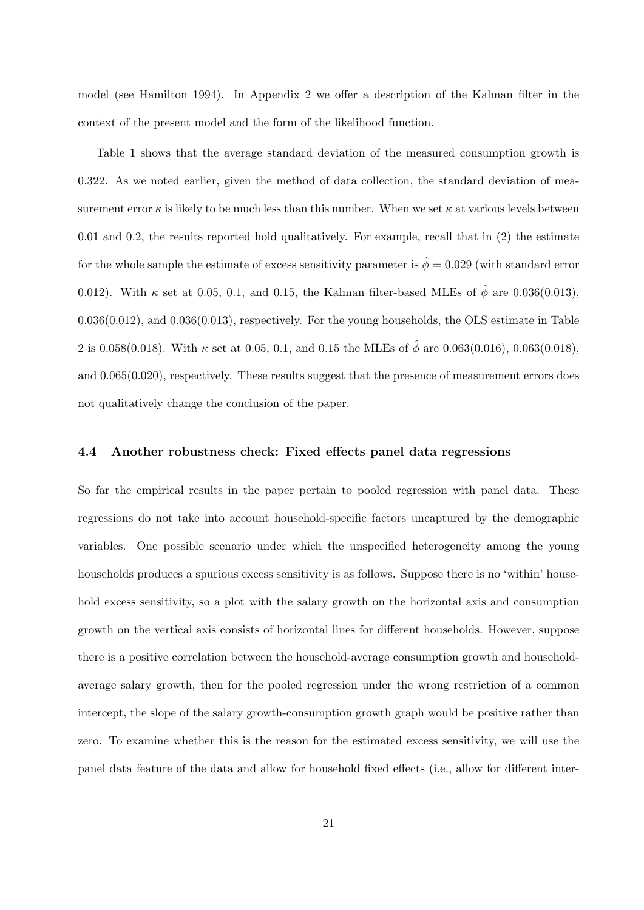model (see Hamilton 1994). In Appendix 2 we offer a description of the Kalman filter in the context of the present model and the form of the likelihood function.

Table 1 shows that the average standard deviation of the measured consumption growth is 0.322. As we noted earlier, given the method of data collection, the standard deviation of measurement error  $\kappa$  is likely to be much less than this number. When we set  $\kappa$  at various levels between 0.01 and 0.2, the results reported hold qualitatively. For example, recall that in (2) the estimate for the whole sample the estimate of excess sensitivity parameter is  $\hat{\phi} = 0.029$  (with standard error 0.012). With  $\kappa$  set at 0.05, 0.1, and 0.15, the Kalman filter-based MLEs of  $\hat{\phi}$  are 0.036(0.013), 0.036(0.012), and 0.036(0.013), respectively. For the young households, the OLS estimate in Table 2 is 0.058(0.018). With  $\kappa$  set at 0.05, 0.1, and 0.15 the MLEs of  $\hat{\phi}$  are 0.063(0.016), 0.063(0.018), and 0.065(0.020), respectively. These results suggest that the presence of measurement errors does not qualitatively change the conclusion of the paper.

### 4.4 Another robustness check: Fixed effects panel data regressions

So far the empirical results in the paper pertain to pooled regression with panel data. These regressions do not take into account household-specific factors uncaptured by the demographic variables. One possible scenario under which the unspecified heterogeneity among the young households produces a spurious excess sensitivity is as follows. Suppose there is no 'within' household excess sensitivity, so a plot with the salary growth on the horizontal axis and consumption growth on the vertical axis consists of horizontal lines for different households. However, suppose there is a positive correlation between the household-average consumption growth and householdaverage salary growth, then for the pooled regression under the wrong restriction of a common intercept, the slope of the salary growth-consumption growth graph would be positive rather than zero. To examine whether this is the reason for the estimated excess sensitivity, we will use the panel data feature of the data and allow for household fixed effects (i.e., allow for different inter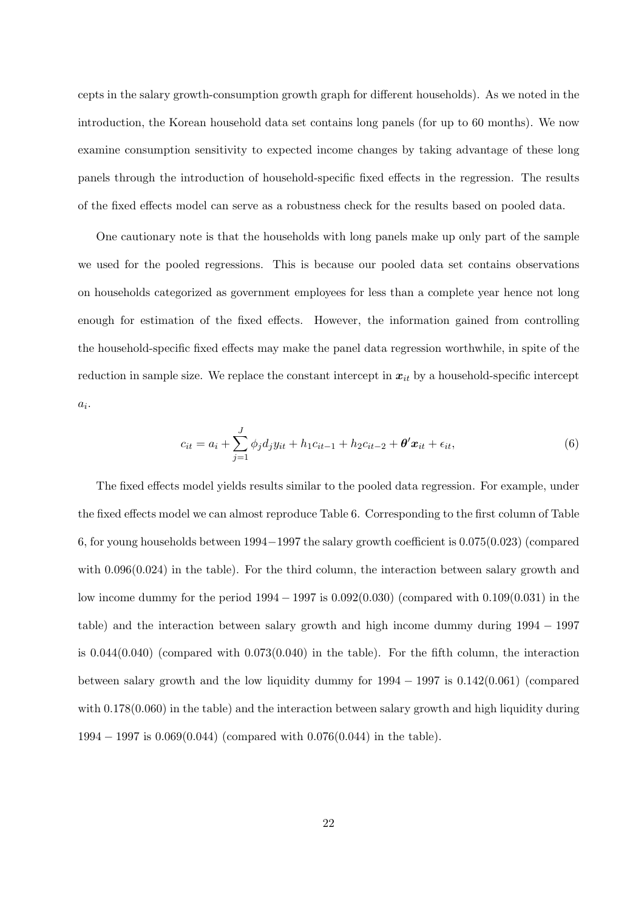cepts in the salary growth-consumption growth graph for different households). As we noted in the introduction, the Korean household data set contains long panels (for up to 60 months). We now examine consumption sensitivity to expected income changes by taking advantage of these long panels through the introduction of household-specific fixed effects in the regression. The results of the fixed effects model can serve as a robustness check for the results based on pooled data.

One cautionary note is that the households with long panels make up only part of the sample we used for the pooled regressions. This is because our pooled data set contains observations on households categorized as government employees for less than a complete year hence not long enough for estimation of the fixed effects. However, the information gained from controlling the household-specific fixed effects may make the panel data regression worthwhile, in spite of the reduction in sample size. We replace the constant intercept in  $x_{it}$  by a household-specific intercept  $a_i$ .

$$
c_{it} = a_i + \sum_{j=1}^{J} \phi_j d_j y_{it} + h_1 c_{it-1} + h_2 c_{it-2} + \theta' x_{it} + \epsilon_{it},
$$
\n(6)

The fixed effects model yields results similar to the pooled data regression. For example, under the fixed effects model we can almost reproduce Table 6. Corresponding to the first column of Table 6, for young households between 1994−1997 the salary growth coefficient is 0.075(0.023) (compared with  $0.096(0.024)$  in the table). For the third column, the interaction between salary growth and low income dummy for the period 1994 − 1997 is 0.092(0.030) (compared with 0.109(0.031) in the table) and the interaction between salary growth and high income dummy during 1994 − 1997 is  $0.044(0.040)$  (compared with  $0.073(0.040)$  in the table). For the fifth column, the interaction between salary growth and the low liquidity dummy for  $1994 - 1997$  is  $0.142(0.061)$  (compared with  $0.178(0.060)$  in the table) and the interaction between salary growth and high liquidity during 1994 − 1997 is 0.069(0.044) (compared with 0.076(0.044) in the table).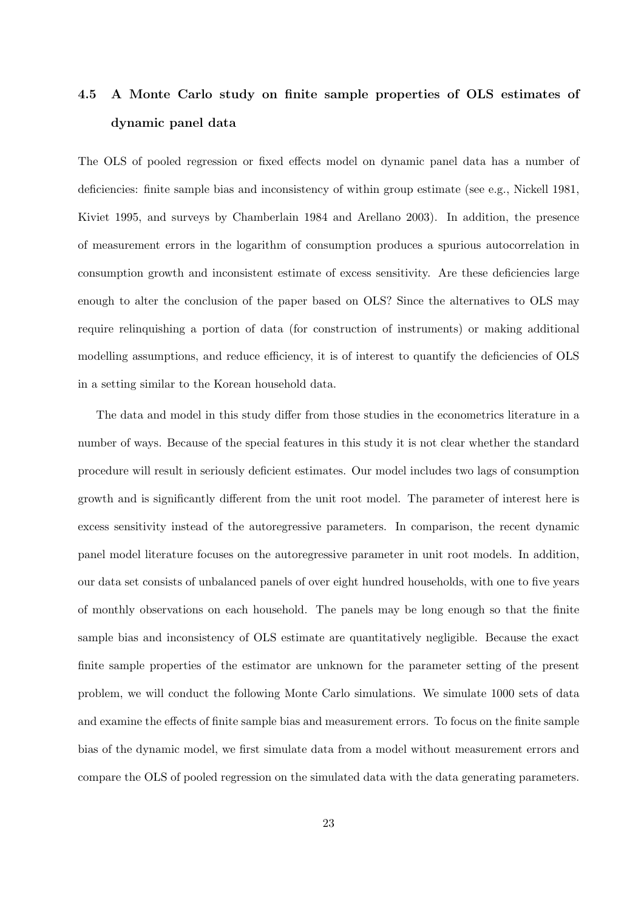# 4.5 A Monte Carlo study on finite sample properties of OLS estimates of dynamic panel data

The OLS of pooled regression or fixed effects model on dynamic panel data has a number of deficiencies: finite sample bias and inconsistency of within group estimate (see e.g., Nickell 1981, Kiviet 1995, and surveys by Chamberlain 1984 and Arellano 2003). In addition, the presence of measurement errors in the logarithm of consumption produces a spurious autocorrelation in consumption growth and inconsistent estimate of excess sensitivity. Are these deficiencies large enough to alter the conclusion of the paper based on OLS? Since the alternatives to OLS may require relinquishing a portion of data (for construction of instruments) or making additional modelling assumptions, and reduce efficiency, it is of interest to quantify the deficiencies of OLS in a setting similar to the Korean household data.

The data and model in this study differ from those studies in the econometrics literature in a number of ways. Because of the special features in this study it is not clear whether the standard procedure will result in seriously deficient estimates. Our model includes two lags of consumption growth and is significantly different from the unit root model. The parameter of interest here is excess sensitivity instead of the autoregressive parameters. In comparison, the recent dynamic panel model literature focuses on the autoregressive parameter in unit root models. In addition, our data set consists of unbalanced panels of over eight hundred households, with one to five years of monthly observations on each household. The panels may be long enough so that the finite sample bias and inconsistency of OLS estimate are quantitatively negligible. Because the exact finite sample properties of the estimator are unknown for the parameter setting of the present problem, we will conduct the following Monte Carlo simulations. We simulate 1000 sets of data and examine the effects of finite sample bias and measurement errors. To focus on the finite sample bias of the dynamic model, we first simulate data from a model without measurement errors and compare the OLS of pooled regression on the simulated data with the data generating parameters.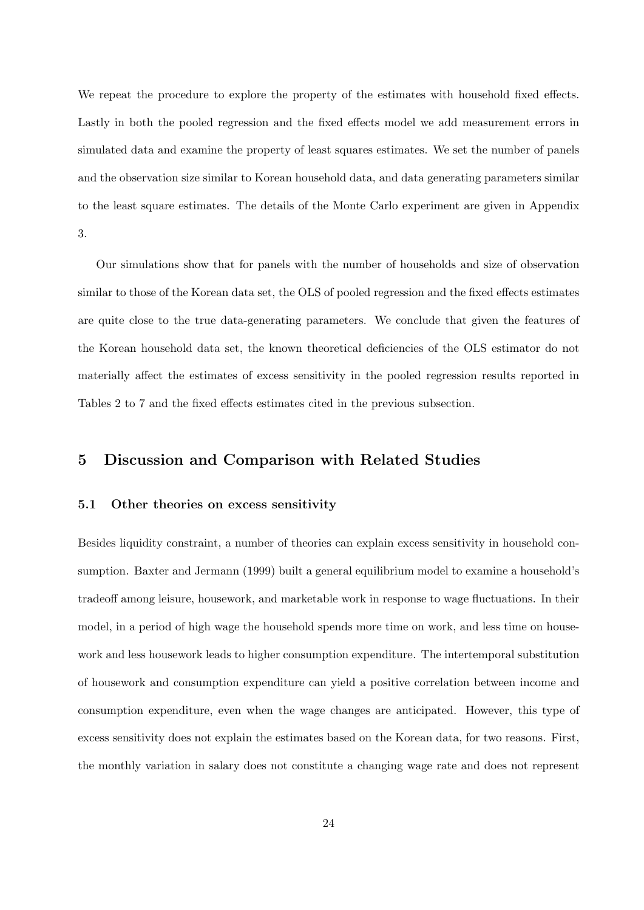We repeat the procedure to explore the property of the estimates with household fixed effects. Lastly in both the pooled regression and the fixed effects model we add measurement errors in simulated data and examine the property of least squares estimates. We set the number of panels and the observation size similar to Korean household data, and data generating parameters similar to the least square estimates. The details of the Monte Carlo experiment are given in Appendix 3.

Our simulations show that for panels with the number of households and size of observation similar to those of the Korean data set, the OLS of pooled regression and the fixed effects estimates are quite close to the true data-generating parameters. We conclude that given the features of the Korean household data set, the known theoretical deficiencies of the OLS estimator do not materially affect the estimates of excess sensitivity in the pooled regression results reported in Tables 2 to 7 and the fixed effects estimates cited in the previous subsection.

# 5 Discussion and Comparison with Related Studies

### 5.1 Other theories on excess sensitivity

Besides liquidity constraint, a number of theories can explain excess sensitivity in household consumption. Baxter and Jermann (1999) built a general equilibrium model to examine a household's tradeoff among leisure, housework, and marketable work in response to wage fluctuations. In their model, in a period of high wage the household spends more time on work, and less time on housework and less housework leads to higher consumption expenditure. The intertemporal substitution of housework and consumption expenditure can yield a positive correlation between income and consumption expenditure, even when the wage changes are anticipated. However, this type of excess sensitivity does not explain the estimates based on the Korean data, for two reasons. First, the monthly variation in salary does not constitute a changing wage rate and does not represent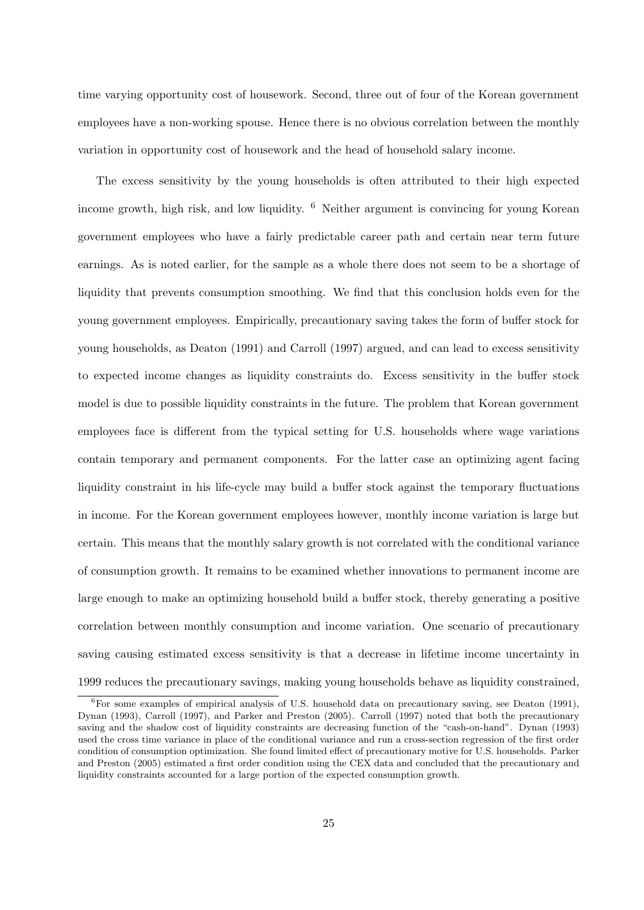time varying opportunity cost of housework. Second, three out of four of the Korean government employees have a non-working spouse. Hence there is no obvious correlation between the monthly variation in opportunity cost of housework and the head of household salary income.

The excess sensitivity by the young households is often attributed to their high expected income growth, high risk, and low liquidity. <sup>6</sup> Neither argument is convincing for young Korean government employees who have a fairly predictable career path and certain near term future earnings. As is noted earlier, for the sample as a whole there does not seem to be a shortage of liquidity that prevents consumption smoothing. We find that this conclusion holds even for the young government employees. Empirically, precautionary saving takes the form of buffer stock for young households, as Deaton (1991) and Carroll (1997) argued, and can lead to excess sensitivity to expected income changes as liquidity constraints do. Excess sensitivity in the buffer stock model is due to possible liquidity constraints in the future. The problem that Korean government employees face is different from the typical setting for U.S. households where wage variations contain temporary and permanent components. For the latter case an optimizing agent facing liquidity constraint in his life-cycle may build a buffer stock against the temporary fluctuations in income. For the Korean government employees however, monthly income variation is large but certain. This means that the monthly salary growth is not correlated with the conditional variance of consumption growth. It remains to be examined whether innovations to permanent income are large enough to make an optimizing household build a buffer stock, thereby generating a positive correlation between monthly consumption and income variation. One scenario of precautionary saving causing estimated excess sensitivity is that a decrease in lifetime income uncertainty in 1999 reduces the precautionary savings, making young households behave as liquidity constrained,

 ${}^{6}$ For some examples of empirical analysis of U.S. household data on precautionary saving, see Deaton (1991), Dynan (1993), Carroll (1997), and Parker and Preston (2005). Carroll (1997) noted that both the precautionary saving and the shadow cost of liquidity constraints are decreasing function of the "cash-on-hand". Dynan (1993) used the cross time variance in place of the conditional variance and run a cross-section regression of the first order condition of consumption optimization. She found limited effect of precautionary motive for U.S. households. Parker and Preston (2005) estimated a first order condition using the CEX data and concluded that the precautionary and liquidity constraints accounted for a large portion of the expected consumption growth.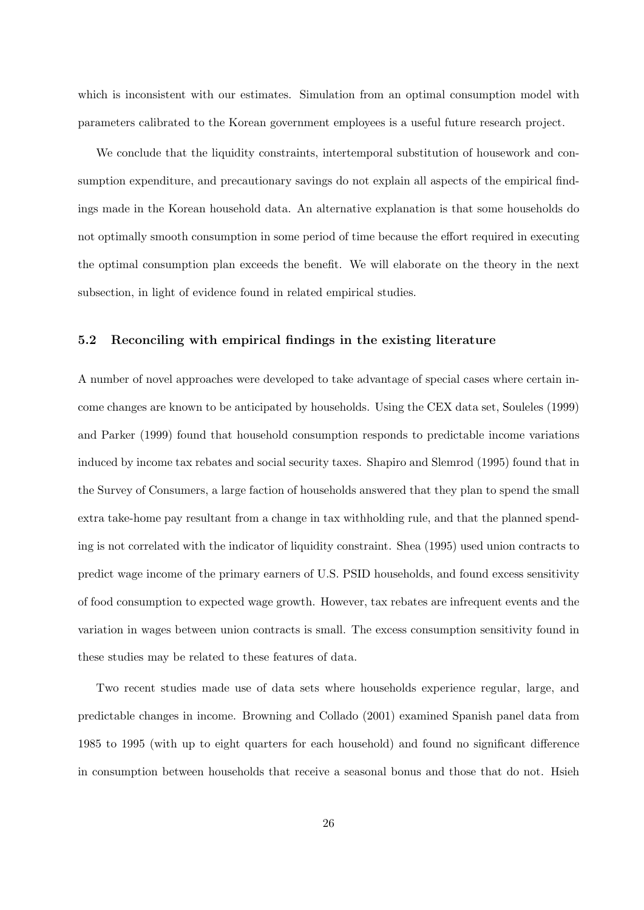which is inconsistent with our estimates. Simulation from an optimal consumption model with parameters calibrated to the Korean government employees is a useful future research project.

We conclude that the liquidity constraints, intertemporal substitution of housework and consumption expenditure, and precautionary savings do not explain all aspects of the empirical findings made in the Korean household data. An alternative explanation is that some households do not optimally smooth consumption in some period of time because the effort required in executing the optimal consumption plan exceeds the benefit. We will elaborate on the theory in the next subsection, in light of evidence found in related empirical studies.

## 5.2 Reconciling with empirical findings in the existing literature

A number of novel approaches were developed to take advantage of special cases where certain income changes are known to be anticipated by households. Using the CEX data set, Souleles (1999) and Parker (1999) found that household consumption responds to predictable income variations induced by income tax rebates and social security taxes. Shapiro and Slemrod (1995) found that in the Survey of Consumers, a large faction of households answered that they plan to spend the small extra take-home pay resultant from a change in tax withholding rule, and that the planned spending is not correlated with the indicator of liquidity constraint. Shea (1995) used union contracts to predict wage income of the primary earners of U.S. PSID households, and found excess sensitivity of food consumption to expected wage growth. However, tax rebates are infrequent events and the variation in wages between union contracts is small. The excess consumption sensitivity found in these studies may be related to these features of data.

Two recent studies made use of data sets where households experience regular, large, and predictable changes in income. Browning and Collado (2001) examined Spanish panel data from 1985 to 1995 (with up to eight quarters for each household) and found no significant difference in consumption between households that receive a seasonal bonus and those that do not. Hsieh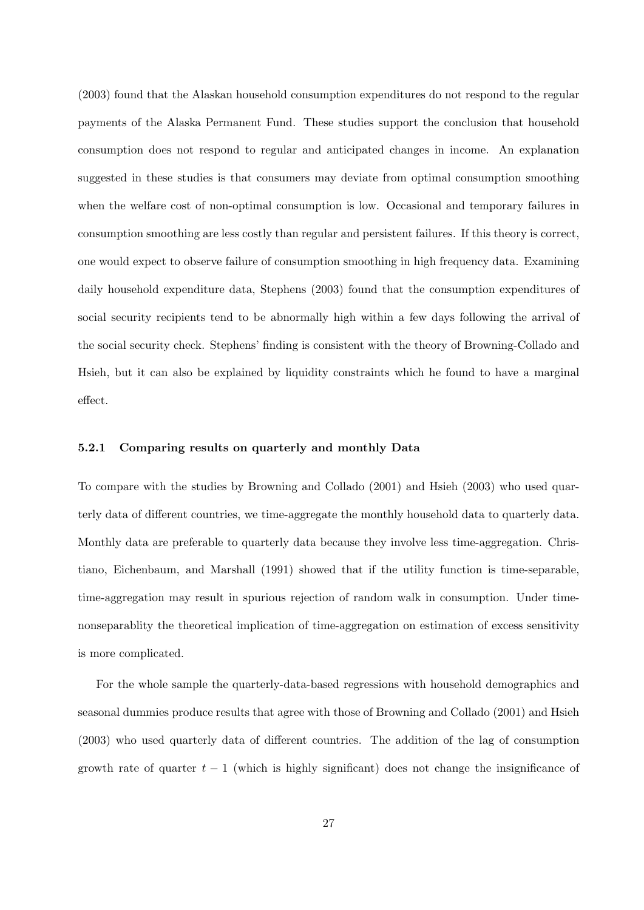(2003) found that the Alaskan household consumption expenditures do not respond to the regular payments of the Alaska Permanent Fund. These studies support the conclusion that household consumption does not respond to regular and anticipated changes in income. An explanation suggested in these studies is that consumers may deviate from optimal consumption smoothing when the welfare cost of non-optimal consumption is low. Occasional and temporary failures in consumption smoothing are less costly than regular and persistent failures. If this theory is correct, one would expect to observe failure of consumption smoothing in high frequency data. Examining daily household expenditure data, Stephens (2003) found that the consumption expenditures of social security recipients tend to be abnormally high within a few days following the arrival of the social security check. Stephens' finding is consistent with the theory of Browning-Collado and Hsieh, but it can also be explained by liquidity constraints which he found to have a marginal effect.

## 5.2.1 Comparing results on quarterly and monthly Data

To compare with the studies by Browning and Collado (2001) and Hsieh (2003) who used quarterly data of different countries, we time-aggregate the monthly household data to quarterly data. Monthly data are preferable to quarterly data because they involve less time-aggregation. Christiano, Eichenbaum, and Marshall (1991) showed that if the utility function is time-separable, time-aggregation may result in spurious rejection of random walk in consumption. Under timenonseparablity the theoretical implication of time-aggregation on estimation of excess sensitivity is more complicated.

For the whole sample the quarterly-data-based regressions with household demographics and seasonal dummies produce results that agree with those of Browning and Collado (2001) and Hsieh (2003) who used quarterly data of different countries. The addition of the lag of consumption growth rate of quarter  $t - 1$  (which is highly significant) does not change the insignificance of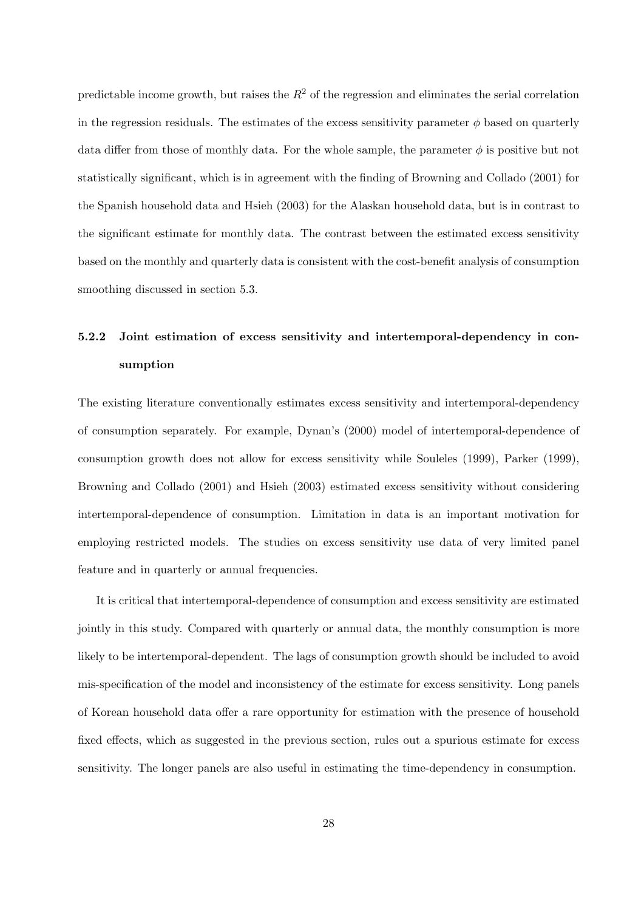predictable income growth, but raises the  $R<sup>2</sup>$  of the regression and eliminates the serial correlation in the regression residuals. The estimates of the excess sensitivity parameter  $\phi$  based on quarterly data differ from those of monthly data. For the whole sample, the parameter  $\phi$  is positive but not statistically significant, which is in agreement with the finding of Browning and Collado (2001) for the Spanish household data and Hsieh (2003) for the Alaskan household data, but is in contrast to the significant estimate for monthly data. The contrast between the estimated excess sensitivity based on the monthly and quarterly data is consistent with the cost-benefit analysis of consumption smoothing discussed in section 5.3.

# 5.2.2 Joint estimation of excess sensitivity and intertemporal-dependency in consumption

The existing literature conventionally estimates excess sensitivity and intertemporal-dependency of consumption separately. For example, Dynan's (2000) model of intertemporal-dependence of consumption growth does not allow for excess sensitivity while Souleles (1999), Parker (1999), Browning and Collado (2001) and Hsieh (2003) estimated excess sensitivity without considering intertemporal-dependence of consumption. Limitation in data is an important motivation for employing restricted models. The studies on excess sensitivity use data of very limited panel feature and in quarterly or annual frequencies.

It is critical that intertemporal-dependence of consumption and excess sensitivity are estimated jointly in this study. Compared with quarterly or annual data, the monthly consumption is more likely to be intertemporal-dependent. The lags of consumption growth should be included to avoid mis-specification of the model and inconsistency of the estimate for excess sensitivity. Long panels of Korean household data offer a rare opportunity for estimation with the presence of household fixed effects, which as suggested in the previous section, rules out a spurious estimate for excess sensitivity. The longer panels are also useful in estimating the time-dependency in consumption.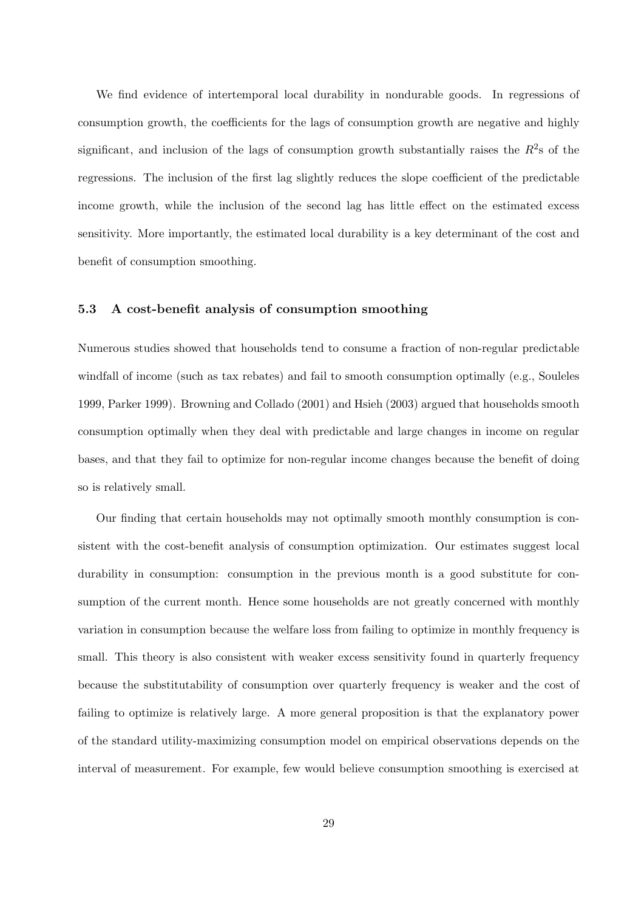We find evidence of intertemporal local durability in nondurable goods. In regressions of consumption growth, the coefficients for the lags of consumption growth are negative and highly significant, and inclusion of the lags of consumption growth substantially raises the  $R^2$ s of the regressions. The inclusion of the first lag slightly reduces the slope coefficient of the predictable income growth, while the inclusion of the second lag has little effect on the estimated excess sensitivity. More importantly, the estimated local durability is a key determinant of the cost and benefit of consumption smoothing.

## 5.3 A cost-benefit analysis of consumption smoothing

Numerous studies showed that households tend to consume a fraction of non-regular predictable windfall of income (such as tax rebates) and fail to smooth consumption optimally (e.g., Souleles 1999, Parker 1999). Browning and Collado (2001) and Hsieh (2003) argued that households smooth consumption optimally when they deal with predictable and large changes in income on regular bases, and that they fail to optimize for non-regular income changes because the benefit of doing so is relatively small.

Our finding that certain households may not optimally smooth monthly consumption is consistent with the cost-benefit analysis of consumption optimization. Our estimates suggest local durability in consumption: consumption in the previous month is a good substitute for consumption of the current month. Hence some households are not greatly concerned with monthly variation in consumption because the welfare loss from failing to optimize in monthly frequency is small. This theory is also consistent with weaker excess sensitivity found in quarterly frequency because the substitutability of consumption over quarterly frequency is weaker and the cost of failing to optimize is relatively large. A more general proposition is that the explanatory power of the standard utility-maximizing consumption model on empirical observations depends on the interval of measurement. For example, few would believe consumption smoothing is exercised at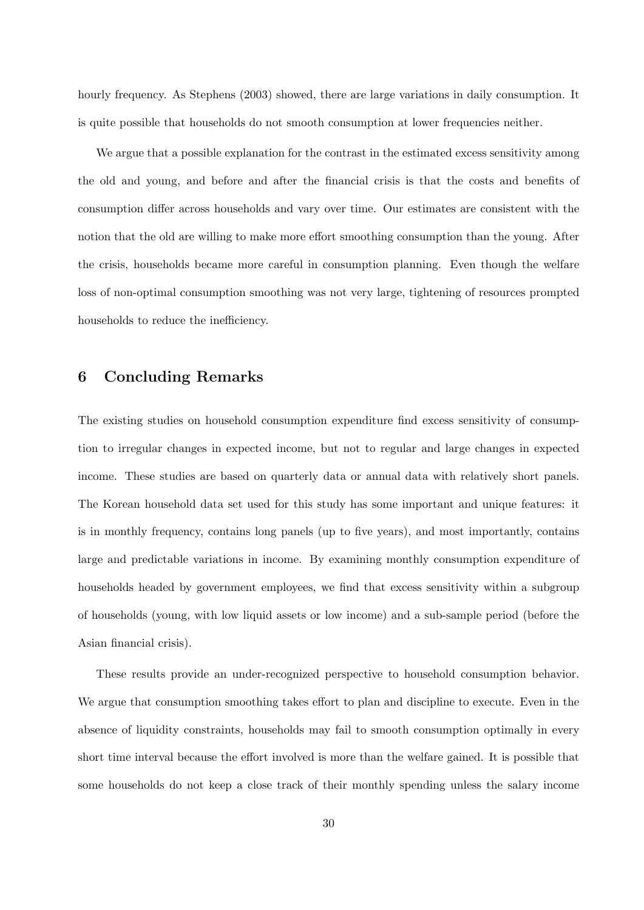hourly frequency. As Stephens (2003) showed, there are large variations in daily consumption. It is quite possible that households do not smooth consumption at lower frequencies neither.

We argue that a possible explanation for the contrast in the estimated excess sensitivity among the old and young, and before and after the financial crisis is that the costs and benefits of consumption differ across households and vary over time. Our estimates are consistent with the notion that the old are willing to make more effort smoothing consumption than the young. After the crisis, households became more careful in consumption planning. Even though the welfare loss of non-optimal consumption smoothing was not very large, tightening of resources prompted households to reduce the inefficiency.

# 6 Concluding Remarks

The existing studies on household consumption expenditure find excess sensitivity of consumption to irregular changes in expected income, but not to regular and large changes in expected income. These studies are based on quarterly data or annual data with relatively short panels. The Korean household data set used for this study has some important and unique features: it is in monthly frequency, contains long panels (up to five years), and most importantly, contains large and predictable variations in income. By examining monthly consumption expenditure of households headed by government employees, we find that excess sensitivity within a subgroup of households (young, with low liquid assets or low income) and a sub-sample period (before the Asian financial crisis).

These results provide an under-recognized perspective to household consumption behavior. We argue that consumption smoothing takes effort to plan and discipline to execute. Even in the absence of liquidity constraints, households may fail to smooth consumption optimally in every short time interval because the effort involved is more than the welfare gained. It is possible that some households do not keep a close track of their monthly spending unless the salary income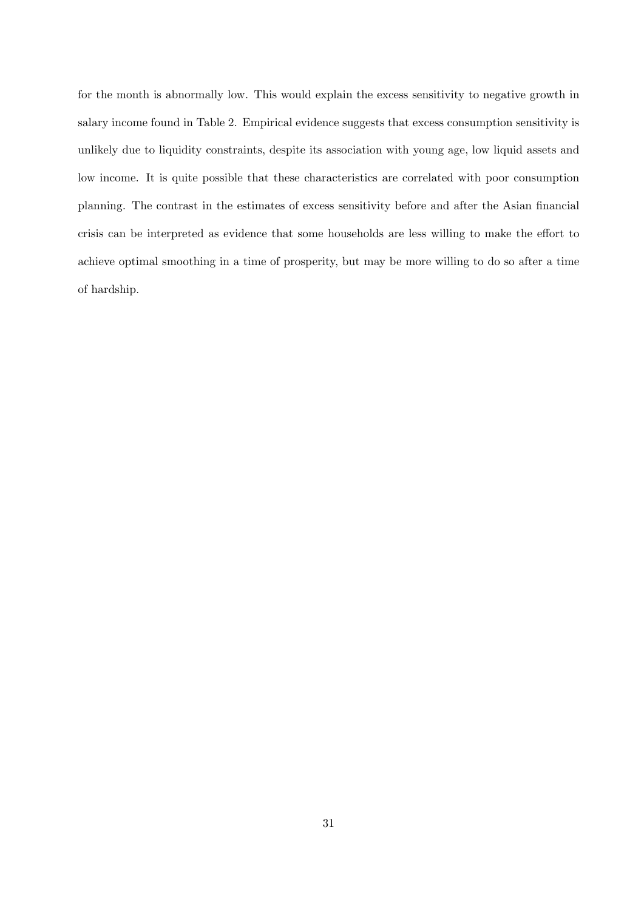for the month is abnormally low. This would explain the excess sensitivity to negative growth in salary income found in Table 2. Empirical evidence suggests that excess consumption sensitivity is unlikely due to liquidity constraints, despite its association with young age, low liquid assets and low income. It is quite possible that these characteristics are correlated with poor consumption planning. The contrast in the estimates of excess sensitivity before and after the Asian financial crisis can be interpreted as evidence that some households are less willing to make the effort to achieve optimal smoothing in a time of prosperity, but may be more willing to do so after a time of hardship.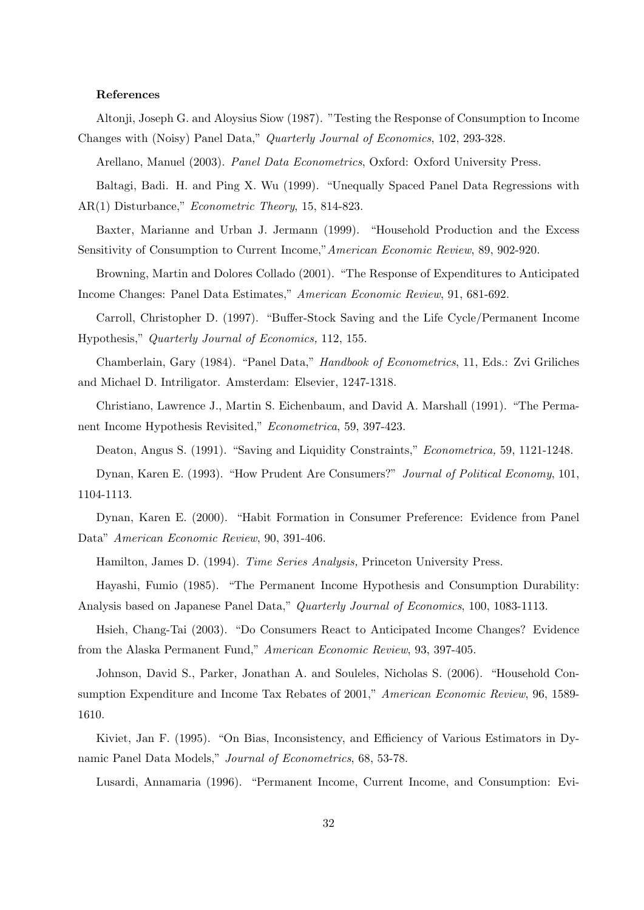#### References

Altonji, Joseph G. and Aloysius Siow (1987). "Testing the Response of Consumption to Income Changes with (Noisy) Panel Data," Quarterly Journal of Economics, 102, 293-328.

Arellano, Manuel (2003). Panel Data Econometrics, Oxford: Oxford University Press.

Baltagi, Badi. H. and Ping X. Wu (1999). "Unequally Spaced Panel Data Regressions with AR(1) Disturbance," Econometric Theory, 15, 814-823.

Baxter, Marianne and Urban J. Jermann (1999). "Household Production and the Excess Sensitivity of Consumption to Current Income,"American Economic Review, 89, 902-920.

Browning, Martin and Dolores Collado (2001). "The Response of Expenditures to Anticipated Income Changes: Panel Data Estimates," American Economic Review, 91, 681-692.

Carroll, Christopher D. (1997). "Buffer-Stock Saving and the Life Cycle/Permanent Income Hypothesis," Quarterly Journal of Economics, 112, 155.

Chamberlain, Gary (1984). "Panel Data," Handbook of Econometrics, 11, Eds.: Zvi Griliches and Michael D. Intriligator. Amsterdam: Elsevier, 1247-1318.

Christiano, Lawrence J., Martin S. Eichenbaum, and David A. Marshall (1991). "The Permanent Income Hypothesis Revisited," Econometrica, 59, 397-423.

Deaton, Angus S. (1991). "Saving and Liquidity Constraints," Econometrica, 59, 1121-1248.

Dynan, Karen E. (1993). "How Prudent Are Consumers?" Journal of Political Economy, 101, 1104-1113.

Dynan, Karen E. (2000). "Habit Formation in Consumer Preference: Evidence from Panel Data" American Economic Review, 90, 391-406.

Hamilton, James D. (1994). Time Series Analysis, Princeton University Press.

Hayashi, Fumio (1985). "The Permanent Income Hypothesis and Consumption Durability: Analysis based on Japanese Panel Data," Quarterly Journal of Economics, 100, 1083-1113.

Hsieh, Chang-Tai (2003). "Do Consumers React to Anticipated Income Changes? Evidence from the Alaska Permanent Fund," American Economic Review, 93, 397-405.

Johnson, David S., Parker, Jonathan A. and Souleles, Nicholas S. (2006). "Household Consumption Expenditure and Income Tax Rebates of 2001," American Economic Review, 96, 1589-1610.

Kiviet, Jan F. (1995). "On Bias, Inconsistency, and Efficiency of Various Estimators in Dynamic Panel Data Models," Journal of Econometrics, 68, 53-78.

Lusardi, Annamaria (1996). "Permanent Income, Current Income, and Consumption: Evi-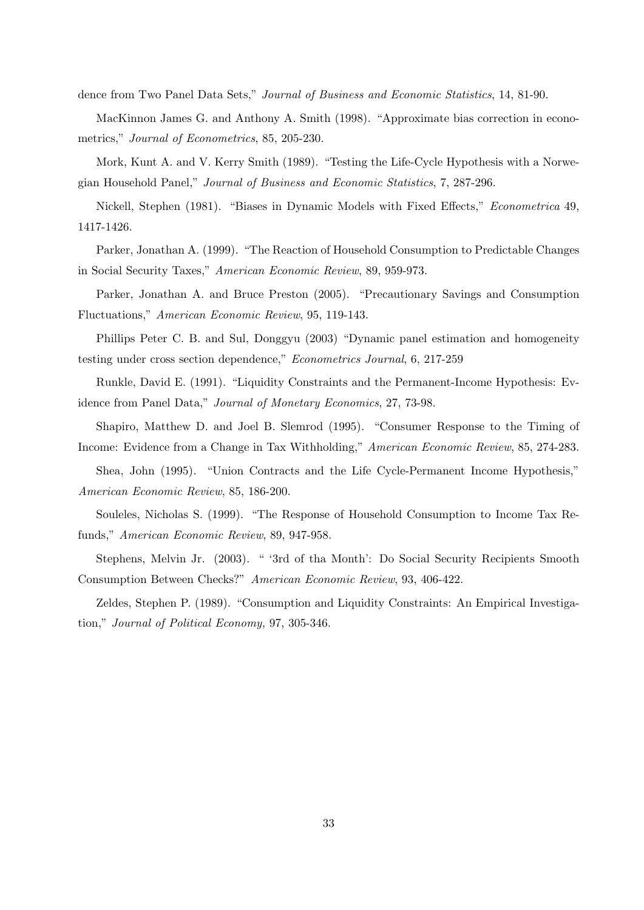dence from Two Panel Data Sets," Journal of Business and Economic Statistics, 14, 81-90.

MacKinnon James G. and Anthony A. Smith (1998). "Approximate bias correction in econometrics," Journal of Econometrics, 85, 205-230.

Mork, Kunt A. and V. Kerry Smith (1989). "Testing the Life-Cycle Hypothesis with a Norwegian Household Panel," Journal of Business and Economic Statistics, 7, 287-296.

Nickell, Stephen (1981). "Biases in Dynamic Models with Fixed Effects," Econometrica 49, 1417-1426.

Parker, Jonathan A. (1999). "The Reaction of Household Consumption to Predictable Changes in Social Security Taxes," American Economic Review, 89, 959-973.

Parker, Jonathan A. and Bruce Preston (2005). "Precautionary Savings and Consumption Fluctuations," American Economic Review, 95, 119-143.

Phillips Peter C. B. and Sul, Donggyu (2003) "Dynamic panel estimation and homogeneity testing under cross section dependence," Econometrics Journal, 6, 217-259

Runkle, David E. (1991). "Liquidity Constraints and the Permanent-Income Hypothesis: Evidence from Panel Data," Journal of Monetary Economics, 27, 73-98.

Shapiro, Matthew D. and Joel B. Slemrod (1995). "Consumer Response to the Timing of Income: Evidence from a Change in Tax Withholding," American Economic Review, 85, 274-283.

Shea, John (1995). "Union Contracts and the Life Cycle-Permanent Income Hypothesis," American Economic Review, 85, 186-200.

Souleles, Nicholas S. (1999). "The Response of Household Consumption to Income Tax Refunds," American Economic Review, 89, 947-958.

Stephens, Melvin Jr. (2003). " '3rd of tha Month': Do Social Security Recipients Smooth Consumption Between Checks?" American Economic Review, 93, 406-422.

Zeldes, Stephen P. (1989). "Consumption and Liquidity Constraints: An Empirical Investigation," Journal of Political Economy, 97, 305-346.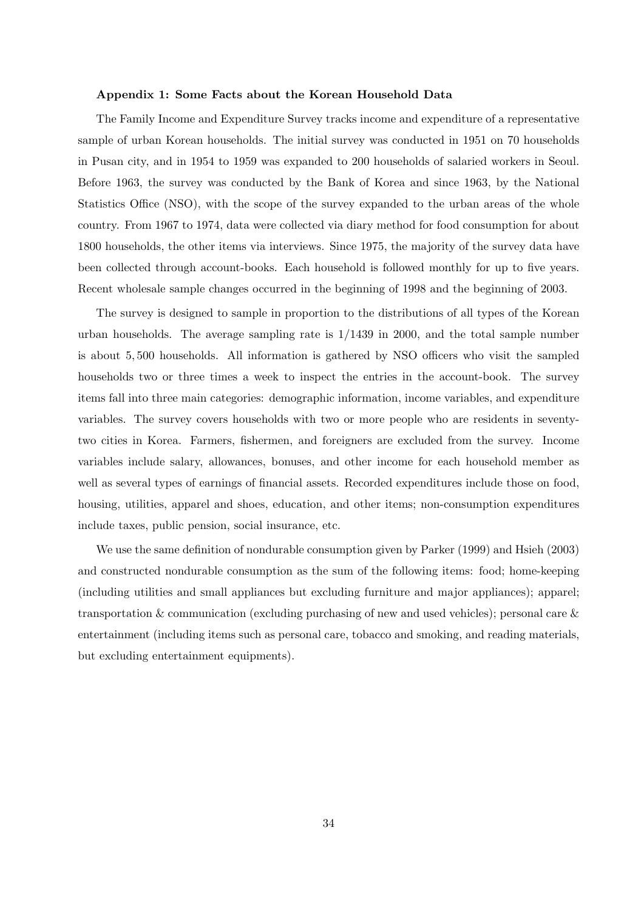#### Appendix 1: Some Facts about the Korean Household Data

The Family Income and Expenditure Survey tracks income and expenditure of a representative sample of urban Korean households. The initial survey was conducted in 1951 on 70 households in Pusan city, and in 1954 to 1959 was expanded to 200 households of salaried workers in Seoul. Before 1963, the survey was conducted by the Bank of Korea and since 1963, by the National Statistics Office (NSO), with the scope of the survey expanded to the urban areas of the whole country. From 1967 to 1974, data were collected via diary method for food consumption for about 1800 households, the other items via interviews. Since 1975, the majority of the survey data have been collected through account-books. Each household is followed monthly for up to five years. Recent wholesale sample changes occurred in the beginning of 1998 and the beginning of 2003.

The survey is designed to sample in proportion to the distributions of all types of the Korean urban households. The average sampling rate is 1/1439 in 2000, and the total sample number is about 5, 500 households. All information is gathered by NSO officers who visit the sampled households two or three times a week to inspect the entries in the account-book. The survey items fall into three main categories: demographic information, income variables, and expenditure variables. The survey covers households with two or more people who are residents in seventytwo cities in Korea. Farmers, fishermen, and foreigners are excluded from the survey. Income variables include salary, allowances, bonuses, and other income for each household member as well as several types of earnings of financial assets. Recorded expenditures include those on food, housing, utilities, apparel and shoes, education, and other items; non-consumption expenditures include taxes, public pension, social insurance, etc.

We use the same definition of nondurable consumption given by Parker (1999) and Hsieh (2003) and constructed nondurable consumption as the sum of the following items: food; home-keeping (including utilities and small appliances but excluding furniture and major appliances); apparel; transportation & communication (excluding purchasing of new and used vehicles); personal care  $\&$ entertainment (including items such as personal care, tobacco and smoking, and reading materials, but excluding entertainment equipments).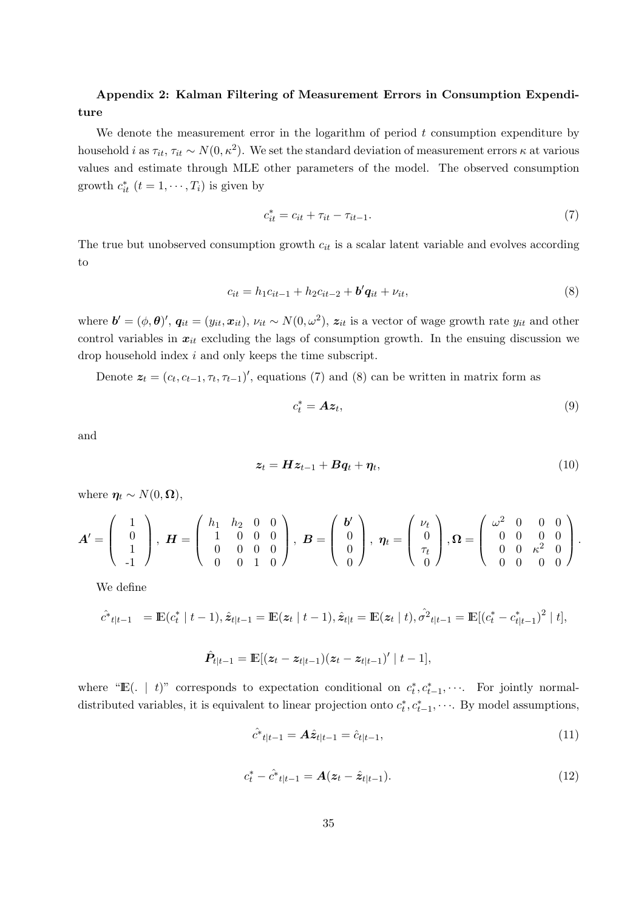# Appendix 2: Kalman Filtering of Measurement Errors in Consumption Expenditure

We denote the measurement error in the logarithm of period  $t$  consumption expenditure by household *i* as  $\tau_{it}$ ,  $\tau_{it} \sim N(0, \kappa^2)$ . We set the standard deviation of measurement errors  $\kappa$  at various values and estimate through MLE other parameters of the model. The observed consumption growth  $c_{it}^*$   $(t = 1, \dots, T_i)$  is given by

$$
c_{it}^{*} = c_{it} + \tau_{it} - \tau_{it-1}.
$$
\n(7)

The true but unobserved consumption growth  $c_{it}$  is a scalar latent variable and evolves according to

$$
c_{it} = h_1 c_{it-1} + h_2 c_{it-2} + b' \mathbf{q}_{it} + \nu_{it},\tag{8}
$$

where  $\mathbf{b}' = (\phi, \boldsymbol{\theta})', \mathbf{q}_{it} = (y_{it}, x_{it}), \nu_{it} \sim N(0, \omega^2), z_{it}$  is a vector of wage growth rate  $y_{it}$  and other control variables in  $x_{it}$  excluding the lags of consumption growth. In the ensuing discussion we drop household index i and only keeps the time subscript.

Denote  $z_t = (c_t, c_{t-1}, \tau_t, \tau_{t-1})'$ , equations (7) and (8) can be written in matrix form as

$$
c_t^* = Az_t,\t\t(9)
$$

and

$$
z_t = Hz_{t-1} + Bq_t + \eta_t, \qquad (10)
$$

where  $\eta_t \sim N(0, \Omega)$ ,

$$
A' = \left(\begin{array}{c}1\\0\\1\\-1\end{array}\right), H = \left(\begin{array}{ccc}h_1 & h_2 & 0 & 0\\1 & 0 & 0 & 0\\0 & 0 & 0 & 0\\0 & 0 & 1 & 0\end{array}\right), B = \left(\begin{array}{c}b'\\0\\0\\0\end{array}\right), \eta_t = \left(\begin{array}{c} \nu_t\\0\\ \tau_t\\0\end{array}\right), \Omega = \left(\begin{array}{ccc} \omega^2 & 0 & 0 & 0\\0 & 0 & 0 & 0\\0 & 0 & \kappa^2 & 0\\0 & 0 & 0 & 0\end{array}\right).
$$

We define

$$
\hat{c}^*_{t|t-1} = \mathbb{E}(c_t^* | t-1), \hat{z}_{t|t-1} = \mathbb{E}(z_t | t-1), \hat{z}_{t|t} = \mathbb{E}(z_t | t), \hat{\sigma}^2_{t|t-1} = \mathbb{E}[(c_t^* - c_{t|t-1}^*)^2 | t],
$$

$$
\hat{P}_{t|t-1} = \mathbb{E}[(z_t - z_{t|t-1})(z_t - z_{t|t-1})' | t-1],
$$

where "E(. | t)" corresponds to expectation conditional on  $c_t^*, c_{t-1}^*, \cdots$ . For jointly normaldistributed variables, it is equivalent to linear projection onto  $c_t^*, c_{t-1}^*, \cdots$ . By model assumptions,

$$
\hat{c}^*_{t|t-1} = A\hat{z}_{t|t-1} = \hat{c}_{t|t-1},\tag{11}
$$

$$
c_t^* - \hat{c}_{t|t-1}^* = A(z_t - \hat{z}_{t|t-1}). \tag{12}
$$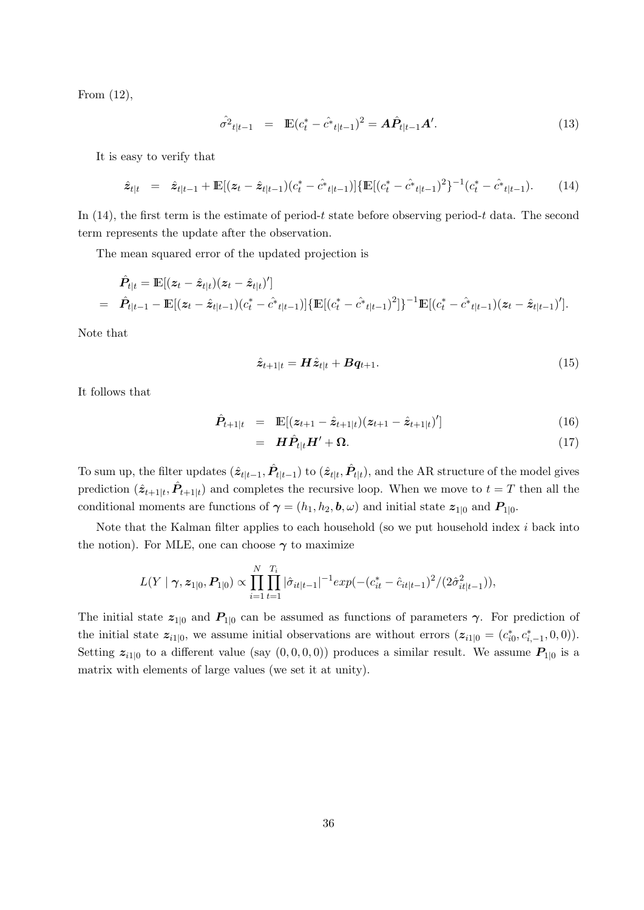From (12),

$$
\hat{\sigma}^2_{t|t-1} = \mathbb{E}(c_t^* - \hat{c}^*_{t|t-1})^2 = A\hat{P}_{t|t-1}A'. \tag{13}
$$

It is easy to verify that

$$
\hat{z}_{t|t} = \hat{z}_{t|t-1} + \mathbb{E}[(z_t - \hat{z}_{t|t-1})(c_t^* - \hat{c}_{t|t-1})]\{\mathbb{E}[(c_t^* - \hat{c}_{t|t-1})^2\}^{-1}(c_t^* - \hat{c}_{t|t-1}).
$$
 (14)

In  $(14)$ , the first term is the estimate of period-t state before observing period-t data. The second term represents the update after the observation.

The mean squared error of the updated projection is

$$
\hat{P}_{t|t} = \mathbb{E}[(z_t - \hat{z}_{t|t})(z_t - \hat{z}_{t|t})'] \n= \hat{P}_{t|t-1} - \mathbb{E}[(z_t - \hat{z}_{t|t-1})(c_t^* - \hat{c}^*_{t|t-1})]\{\mathbb{E}[(c_t^* - \hat{c}^*_{t|t-1})^2]\}^{-1}\mathbb{E}[(c_t^* - \hat{c}^*_{t|t-1})(z_t - \hat{z}_{t|t-1})'].
$$

Note that

$$
\hat{\mathbf{z}}_{t+1|t} = \mathbf{H}\hat{\mathbf{z}}_{t|t} + \mathbf{B}\mathbf{q}_{t+1}.\tag{15}
$$

It follows that

$$
\hat{P}_{t+1|t} = \mathbb{E}[(z_{t+1} - \hat{z}_{t+1|t})(z_{t+1} - \hat{z}_{t+1|t})'] \tag{16}
$$

$$
= \mathbf{H}\hat{\mathbf{P}}_{t|t}\mathbf{H}' + \mathbf{\Omega}.\tag{17}
$$

To sum up, the filter updates  $(\hat{z}_{t|t-1}, \hat{P}_{t|t-1})$  to  $(\hat{z}_{t|t}, \hat{P}_{t|t})$ , and the AR structure of the model gives prediction  $(\hat{z}_{t+1|t}, \hat{P}_{t+1|t})$  and completes the recursive loop. When we move to  $t = T$  then all the conditional moments are functions of  $\boldsymbol{\gamma} = (h_1, h_2, \boldsymbol{b}, \omega)$  and initial state  $z_{1|0}$  and  $P_{1|0}$ .

Note that the Kalman filter applies to each household (so we put household index  $i$  back into the notion). For MLE, one can choose  $\gamma$  to maximize

$$
L(Y | \gamma, z_{1|0}, P_{1|0}) \propto \prod_{i=1}^{N} \prod_{t=1}^{T_i} |\hat{\sigma}_{it|t-1}|^{-1} exp(-(c_{it}^* - \hat{c}_{it|t-1})^2 / (2\hat{\sigma}_{it|t-1}^2)),
$$

The initial state  $z_{1|0}$  and  $P_{1|0}$  can be assumed as functions of parameters  $\gamma$ . For prediction of the initial state  $z_{i1|0}$ , we assume initial observations are without errors  $(z_{i1|0} = (c_{i0}^*, c_{i,-1}^*, 0, 0)).$ Setting  $z_{i1|0}$  to a different value (say  $(0,0,0,0)$ ) produces a similar result. We assume  $P_{1|0}$  is a matrix with elements of large values (we set it at unity).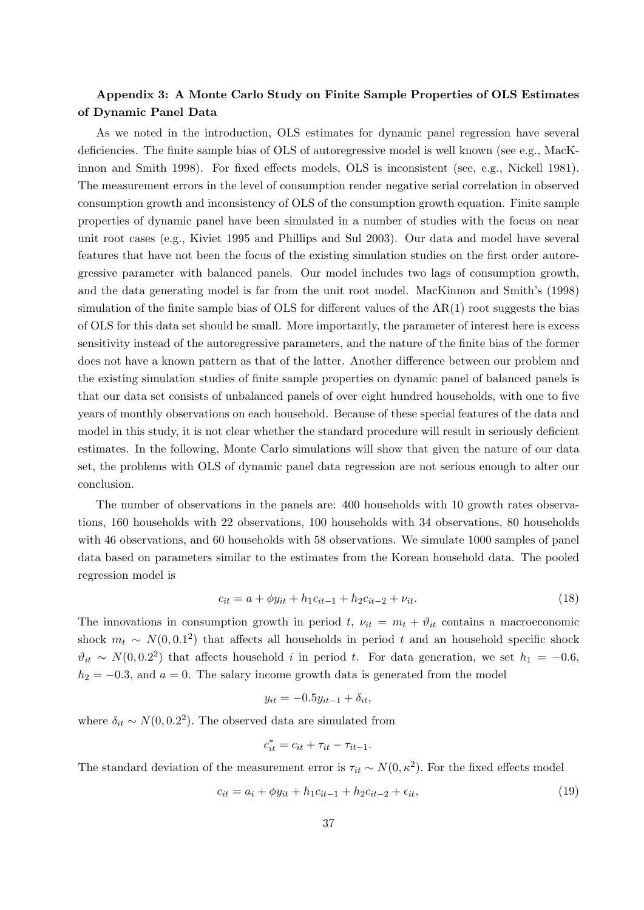# Appendix 3: A Monte Carlo Study on Finite Sample Properties of OLS Estimates of Dynamic Panel Data

As we noted in the introduction, OLS estimates for dynamic panel regression have several deficiencies. The finite sample bias of OLS of autoregressive model is well known (see e.g., MacKinnon and Smith 1998). For fixed effects models, OLS is inconsistent (see, e.g., Nickell 1981). The measurement errors in the level of consumption render negative serial correlation in observed consumption growth and inconsistency of OLS of the consumption growth equation. Finite sample properties of dynamic panel have been simulated in a number of studies with the focus on near unit root cases (e.g., Kiviet 1995 and Phillips and Sul 2003). Our data and model have several features that have not been the focus of the existing simulation studies on the first order autoregressive parameter with balanced panels. Our model includes two lags of consumption growth, and the data generating model is far from the unit root model. MacKinnon and Smith's (1998) simulation of the finite sample bias of OLS for different values of the  $AR(1)$  root suggests the bias of OLS for this data set should be small. More importantly, the parameter of interest here is excess sensitivity instead of the autoregressive parameters, and the nature of the finite bias of the former does not have a known pattern as that of the latter. Another difference between our problem and the existing simulation studies of finite sample properties on dynamic panel of balanced panels is that our data set consists of unbalanced panels of over eight hundred households, with one to five years of monthly observations on each household. Because of these special features of the data and model in this study, it is not clear whether the standard procedure will result in seriously deficient estimates. In the following, Monte Carlo simulations will show that given the nature of our data set, the problems with OLS of dynamic panel data regression are not serious enough to alter our conclusion.

The number of observations in the panels are: 400 households with 10 growth rates observations, 160 households with 22 observations, 100 households with 34 observations, 80 households with 46 observations, and 60 households with 58 observations. We simulate 1000 samples of panel data based on parameters similar to the estimates from the Korean household data. The pooled regression model is

$$
c_{it} = a + \phi y_{it} + h_1 c_{it-1} + h_2 c_{it-2} + \nu_{it}.
$$
\n(18)

The innovations in consumption growth in period t,  $\nu_{it} = m_t + \vartheta_{it}$  contains a macroeconomic shock  $m_t \sim N(0, 0.1^2)$  that affects all households in period t and an household specific shock  $\vartheta_{it} \sim N(0, 0.2^2)$  that affects household i in period t. For data generation, we set  $h_1 = -0.6$ ,  $h_2 = -0.3$ , and  $a = 0$ . The salary income growth data is generated from the model

$$
y_{it} = -0.5y_{it-1} + \delta_{it},
$$

where  $\delta_{it} \sim N(0, 0.2^2)$ . The observed data are simulated from

$$
c_{it}^* = c_{it} + \tau_{it} - \tau_{it-1}.
$$

The standard deviation of the measurement error is  $\tau_{it} \sim N(0, \kappa^2)$ . For the fixed effects model

$$
c_{it} = a_i + \phi y_{it} + h_1 c_{it-1} + h_2 c_{it-2} + \epsilon_{it},
$$
\n(19)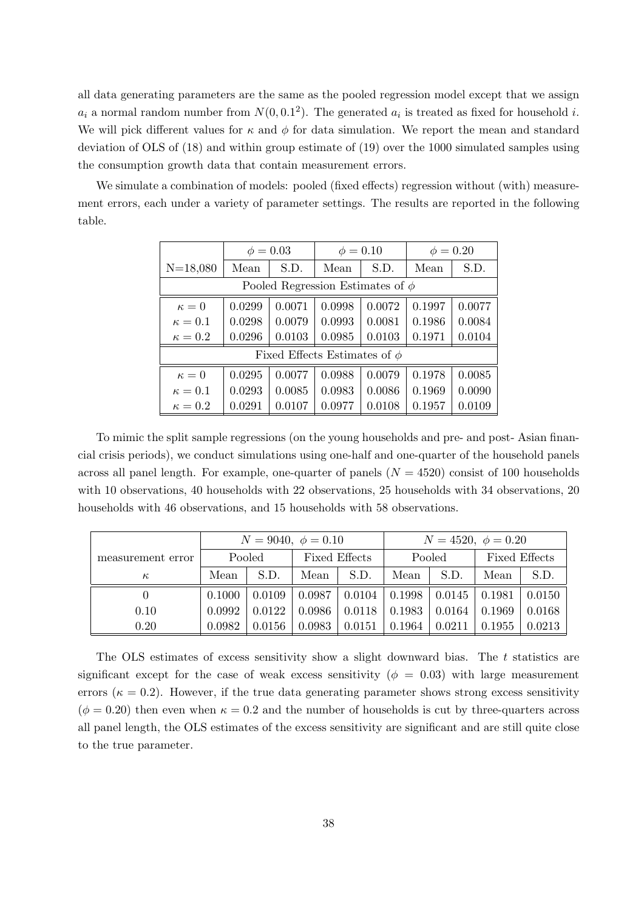all data generating parameters are the same as the pooled regression model except that we assign  $a_i$  a normal random number from  $N(0, 0.1^2)$ . The generated  $a_i$  is treated as fixed for household i. We will pick different values for  $\kappa$  and  $\phi$  for data simulation. We report the mean and standard deviation of OLS of (18) and within group estimate of (19) over the 1000 simulated samples using the consumption growth data that contain measurement errors.

We simulate a combination of models: pooled (fixed effects) regression without (with) measurement errors, each under a variety of parameter settings. The results are reported in the following table.

|                                       | $\phi = 0.03$ |                                   |        | $\phi = 0.10$ | $\phi = 0.20$ |        |  |  |
|---------------------------------------|---------------|-----------------------------------|--------|---------------|---------------|--------|--|--|
| $N=18,080$                            | Mean          | S.D.                              | Mean   | S.D.          | Mean          | S.D.   |  |  |
| Pooled Regression Estimates of $\phi$ |               |                                   |        |               |               |        |  |  |
| $\kappa=0$                            | 0.0299        | 0.0071                            | 0.0998 | 0.0072        | 0.1997        | 0.0077 |  |  |
| $\kappa=0.1$                          | 0.0298        | 0.0079                            | 0.0993 | 0.0081        | 0.1986        | 0.0084 |  |  |
| $\kappa=0.2$                          | 0.0296        | 0.0103                            | 0.0985 | 0.0103        | 0.1971        | 0.0104 |  |  |
|                                       |               | Fixed Effects Estimates of $\phi$ |        |               |               |        |  |  |
| $\kappa=0$                            | 0.0295        | 0.0077                            | 0.0988 | 0.0079        | 0.1978        | 0.0085 |  |  |
| $\kappa=0.1$                          | 0.0293        | 0.0085                            | 0.0983 | 0.0086        | 0.1969        | 0.0090 |  |  |
| $\kappa=0.2$                          | 0.0291        | 0.0107                            | 0.0977 | 0.0108        | 0.1957        | 0.0109 |  |  |

To mimic the split sample regressions (on the young households and pre- and post- Asian financial crisis periods), we conduct simulations using one-half and one-quarter of the household panels across all panel length. For example, one-quarter of panels  $(N = 4520)$  consist of 100 households with 10 observations, 40 households with 22 observations, 25 households with 34 observations, 20 households with 46 observations, and 15 households with 58 observations.

|                   | $N = 9040, \phi = 0.10$ |        |                      |        | $N = 4520, \phi = 0.20$ |        |               |        |
|-------------------|-------------------------|--------|----------------------|--------|-------------------------|--------|---------------|--------|
| measurement error | Pooled                  |        | <b>Fixed Effects</b> |        | Pooled                  |        | Fixed Effects |        |
| $\kappa$          | Mean                    | S.D.   | Mean                 | S.D.   | Mean                    | S.D.   | Mean          | S.D.   |
| $\theta$          | 0.1000                  | 0.0109 | 0.0987               | 0.0104 | 0.1998                  | 0.0145 | 0.1981        | 0.0150 |
| 0.10              | 0.0992                  | 0.0122 | 0.0986               | 0.0118 | 0.1983                  | 0.0164 | 0.1969        | 0.0168 |
| 0.20              | 0.0982                  | 0.0156 | 0.0983               | 0.0151 | 0.1964                  | 0.0211 | 0.1955        | 0.0213 |

The OLS estimates of excess sensitivity show a slight downward bias. The t statistics are significant except for the case of weak excess sensitivity ( $\phi = 0.03$ ) with large measurement errors ( $\kappa = 0.2$ ). However, if the true data generating parameter shows strong excess sensitivity  $(\phi = 0.20)$  then even when  $\kappa = 0.2$  and the number of households is cut by three-quarters across all panel length, the OLS estimates of the excess sensitivity are significant and are still quite close to the true parameter.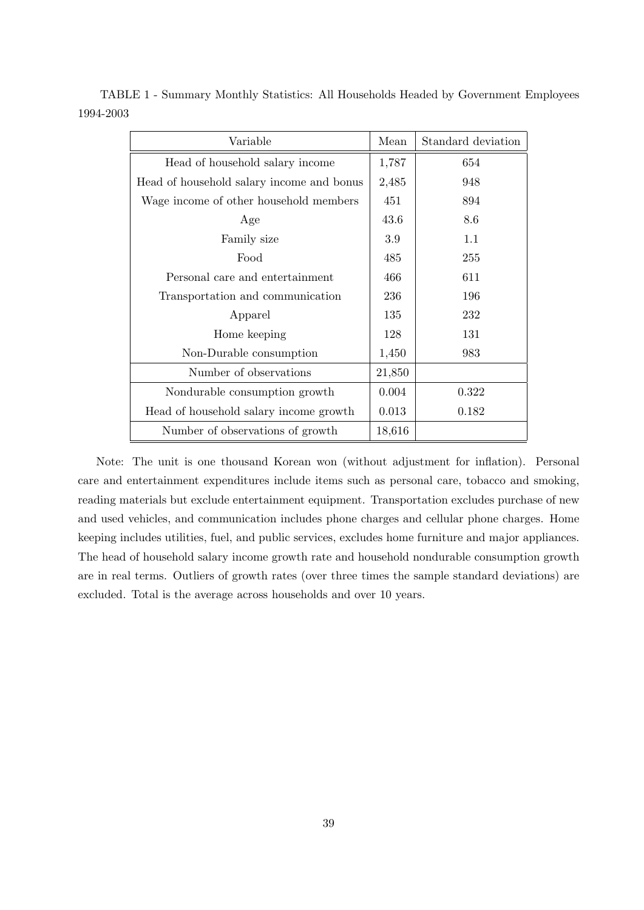| Variable                                  | Mean   | Standard deviation |
|-------------------------------------------|--------|--------------------|
| Head of household salary income           | 1,787  | 654                |
| Head of household salary income and bonus | 2,485  | 948                |
| Wage income of other household members    | 451    | 894                |
| Age                                       | 43.6   | 8.6                |
| Family size                               | 3.9    | 1.1                |
| Food                                      | 485    | 255                |
| Personal care and entertainment           | 466    | 611                |
| Transportation and communication          | 236    | 196                |
| Apparel                                   | 135    | 232                |
| Home keeping                              | 128    | 131                |
| Non-Durable consumption                   | 1,450  | 983                |
| Number of observations                    | 21,850 |                    |
| Nondurable consumption growth             | 0.004  | 0.322              |
| Head of household salary income growth    | 0.013  | 0.182              |
| Number of observations of growth          | 18,616 |                    |

TABLE 1 - Summary Monthly Statistics: All Households Headed by Government Employees 1994-2003

Note: The unit is one thousand Korean won (without adjustment for inflation). Personal care and entertainment expenditures include items such as personal care, tobacco and smoking, reading materials but exclude entertainment equipment. Transportation excludes purchase of new and used vehicles, and communication includes phone charges and cellular phone charges. Home keeping includes utilities, fuel, and public services, excludes home furniture and major appliances. The head of household salary income growth rate and household nondurable consumption growth are in real terms. Outliers of growth rates (over three times the sample standard deviations) are excluded. Total is the average across households and over 10 years.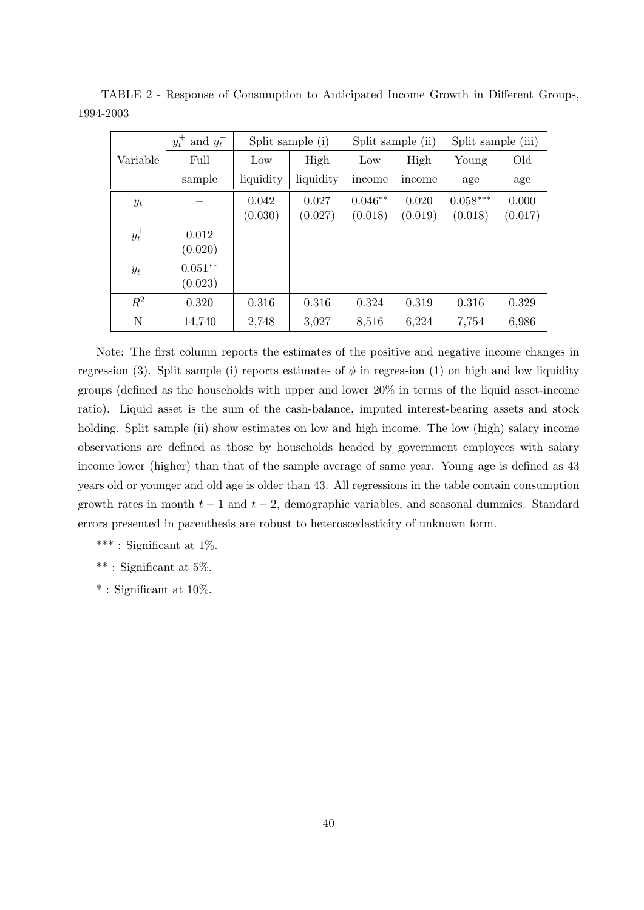| $y_t^+$ and $y_t^-$ |           | Split sample (i) |           | Split sample (ii) |         | Split sample (iii) |         |
|---------------------|-----------|------------------|-----------|-------------------|---------|--------------------|---------|
| Variable            | Full      | Low              | High      | Low               | High    | Young              | Old     |
|                     | sample    | liquidity        | liquidity | income            | income  | age                | age     |
| $y_t$               |           | 0.042            | 0.027     | $0.046**$         | 0.020   | $0.058***$         | 0.000   |
|                     |           | (0.030)          | (0.027)   | (0.018)           | (0.019) | (0.018)            | (0.017) |
| $y_t^+$             | 0.012     |                  |           |                   |         |                    |         |
|                     | (0.020)   |                  |           |                   |         |                    |         |
| $y_t^-$             | $0.051**$ |                  |           |                   |         |                    |         |
|                     | (0.023)   |                  |           |                   |         |                    |         |
| $R^2$               | 0.320     | 0.316            | 0.316     | 0.324             | 0.319   | 0.316              | 0.329   |
| N                   | 14,740    | 2,748            | 3,027     | 8,516             | 6,224   | 7,754              | 6,986   |

TABLE 2 - Response of Consumption to Anticipated Income Growth in Different Groups, 1994-2003

Note: The first column reports the estimates of the positive and negative income changes in regression (3). Split sample (i) reports estimates of  $\phi$  in regression (1) on high and low liquidity groups (defined as the households with upper and lower 20% in terms of the liquid asset-income ratio). Liquid asset is the sum of the cash-balance, imputed interest-bearing assets and stock holding. Split sample (ii) show estimates on low and high income. The low (high) salary income observations are defined as those by households headed by government employees with salary income lower (higher) than that of the sample average of same year. Young age is defined as 43 years old or younger and old age is older than 43. All regressions in the table contain consumption growth rates in month  $t - 1$  and  $t - 2$ , demographic variables, and seasonal dummies. Standard errors presented in parenthesis are robust to heteroscedasticity of unknown form.

\*\*\* : Significant at  $1\%$ .

\*\* : Significant at 5%.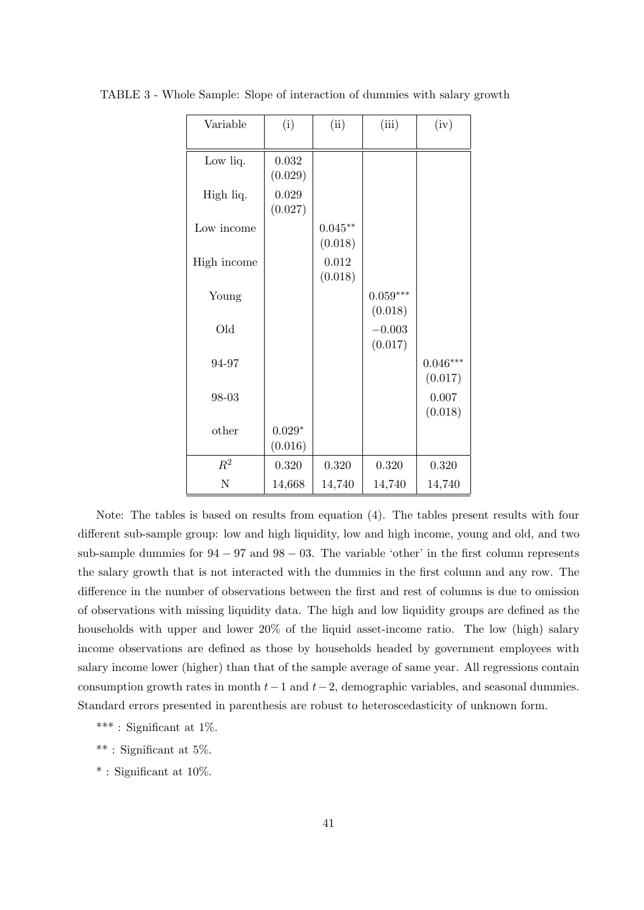| Variable    | (i)                       | (ii)                 | (iii)                 | (iv)                  |
|-------------|---------------------------|----------------------|-----------------------|-----------------------|
| Low liq.    | 0.032<br>(0.029)          |                      |                       |                       |
| High liq.   | 0.029<br>(0.027)          |                      |                       |                       |
| Low income  |                           | $0.045**$<br>(0.018) |                       |                       |
| High income |                           | 0.012<br>(0.018)     |                       |                       |
| Young       |                           |                      | $0.059***$<br>(0.018) |                       |
| Old         |                           |                      | $-0.003$<br>(0.017)   |                       |
| 94-97       |                           |                      |                       | $0.046***$<br>(0.017) |
| 98-03       |                           |                      |                       | 0.007<br>(0.018)      |
| other       | $0.029^{\ast}$<br>(0.016) |                      |                       |                       |
| $R^2$       | 0.320                     | 0.320                | 0.320                 | 0.320                 |
| N           | 14,668                    | 14,740               | 14,740                | 14,740                |

TABLE 3 - Whole Sample: Slope of interaction of dummies with salary growth

Note: The tables is based on results from equation (4). The tables present results with four different sub-sample group: low and high liquidity, low and high income, young and old, and two sub-sample dummies for  $94 - 97$  and  $98 - 03$ . The variable 'other' in the first column represents the salary growth that is not interacted with the dummies in the first column and any row. The difference in the number of observations between the first and rest of columns is due to omission of observations with missing liquidity data. The high and low liquidity groups are defined as the households with upper and lower 20% of the liquid asset-income ratio. The low (high) salary income observations are defined as those by households headed by government employees with salary income lower (higher) than that of the sample average of same year. All regressions contain consumption growth rates in month  $t-1$  and  $t-2$ , demographic variables, and seasonal dummies. Standard errors presented in parenthesis are robust to heteroscedasticity of unknown form.

- \*\*\* : Significant at 1%.
- \*\* : Significant at 5%.
- $*$ : Significant at 10%.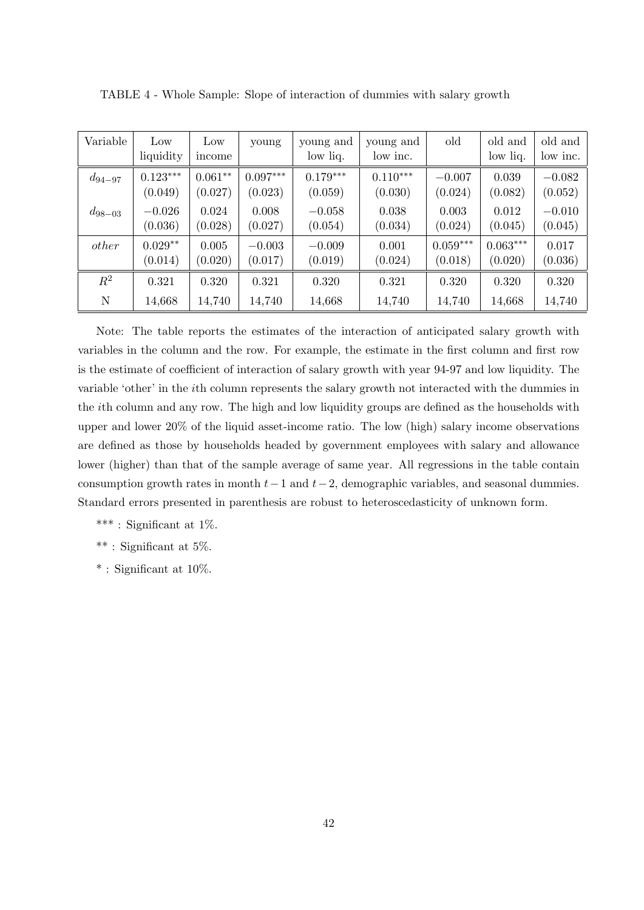| Variable       | Low<br>liquidity | Low<br>income | young      | young and<br>low liq. | young and<br>low inc. | old        | old and<br>low liq. | old and<br>low inc. |
|----------------|------------------|---------------|------------|-----------------------|-----------------------|------------|---------------------|---------------------|
| $d_{94-97}$    | $0.123***$       | $0.061**$     | $0.097***$ | $0.179***$            | $0.110***$            | $-0.007$   | 0.039               | $-0.082$            |
|                | (0.049)          | (0.027)       | (0.023)    | (0.059)               | (0.030)               | (0.024)    | (0.082)             | (0.052)             |
| $d_{98-03}$    | $-0.026$         | 0.024         | 0.008      | $-0.058$              | 0.038                 | 0.003      | 0.012               | $-0.010$            |
|                | (0.036)          | (0.028)       | (0.027)    | (0.054)               | (0.034)               | (0.024)    | (0.045)             | (0.045)             |
| other          | $0.029**$        | 0.005         | $-0.003$   | $-0.009$              | 0.001                 | $0.059***$ | $0.063***$          | 0.017               |
|                | (0.014)          | (0.020)       | (0.017)    | (0.019)               | (0.024)               | (0.018)    | (0.020)             | (0.036)             |
| $\mathbb{R}^2$ | 0.321            | 0.320         | 0.321      | 0.320                 | 0.321                 | 0.320      | 0.320               | 0.320               |
| N              | 14,668           | 14,740        | 14,740     | 14,668                | 14,740                | 14,740     | 14,668              | 14,740              |

TABLE 4 - Whole Sample: Slope of interaction of dummies with salary growth

Note: The table reports the estimates of the interaction of anticipated salary growth with variables in the column and the row. For example, the estimate in the first column and first row is the estimate of coefficient of interaction of salary growth with year 94-97 and low liquidity. The variable 'other' in the ith column represents the salary growth not interacted with the dummies in the ith column and any row. The high and low liquidity groups are defined as the households with upper and lower 20% of the liquid asset-income ratio. The low (high) salary income observations are defined as those by households headed by government employees with salary and allowance lower (higher) than that of the sample average of same year. All regressions in the table contain consumption growth rates in month  $t-1$  and  $t-2$ , demographic variables, and seasonal dummies. Standard errors presented in parenthesis are robust to heteroscedasticity of unknown form.

\*\*\* : Significant at 1%.

\*\* : Significant at 5%.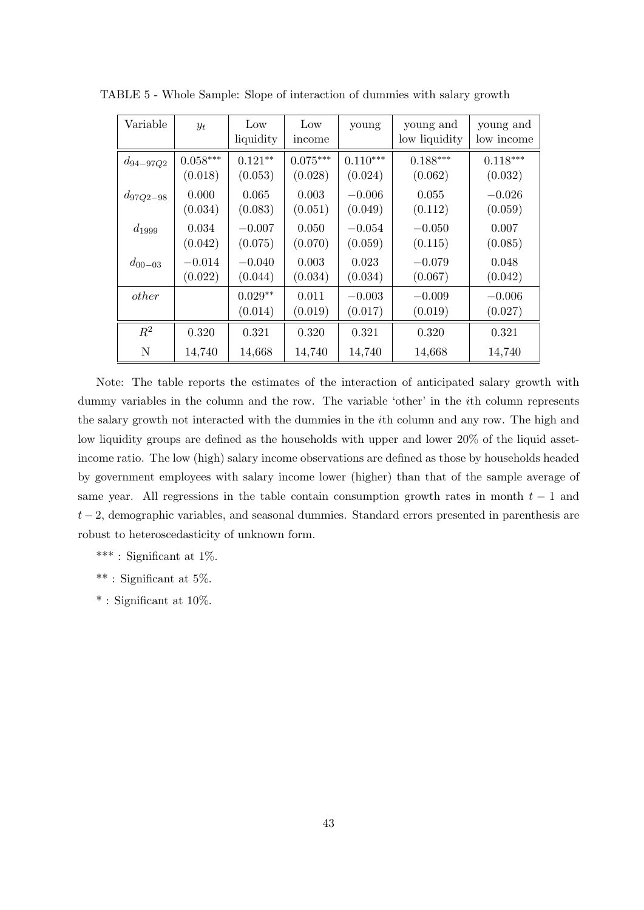| Variable      | $y_t$      | Low<br>liquidity     | Low<br>income    | young               | young and<br>low liquidity | young and<br>low income |
|---------------|------------|----------------------|------------------|---------------------|----------------------------|-------------------------|
| $d_{94-97Q2}$ | $0.058***$ | $0.121**$            | $0.075***$       | $0.110***$          | $0.188***$                 | $0.118***$              |
|               | (0.018)    | (0.053)              | (0.028)          | (0.024)             | (0.062)                    | (0.032)                 |
| $d_{97Q2-98}$ | 0.000      | 0.065                | 0.003            | $-0.006$            | 0.055                      | $-0.026$                |
|               | (0.034)    | (0.083)              | (0.051)          | (0.049)             | (0.112)                    | (0.059)                 |
| $d_{1999}$    | 0.034      | $-0.007$             | 0.050            | $-0.054$            | $-0.050$                   | 0.007                   |
|               | (0.042)    | (0.075)              | (0.070)          | (0.059)             | (0.115)                    | (0.085)                 |
| $d_{00-03}$   | $-0.014$   | $-0.040$             | 0.003            | 0.023               | $-0.079$                   | 0.048                   |
|               | (0.022)    | (0.044)              | (0.034)          | (0.034)             | (0.067)                    | (0.042)                 |
| other         |            | $0.029**$<br>(0.014) | 0.011<br>(0.019) | $-0.003$<br>(0.017) | $-0.009$<br>(0.019)        | $-0.006$<br>(0.027)     |
| $R^2$         | 0.320      | 0.321                | 0.320            | 0.321               | 0.320                      | 0.321                   |
| N             | 14,740     | 14,668               | 14,740           | 14,740              | 14,668                     | 14,740                  |

TABLE 5 - Whole Sample: Slope of interaction of dummies with salary growth

Note: The table reports the estimates of the interaction of anticipated salary growth with dummy variables in the column and the row. The variable 'other' in the ith column represents the salary growth not interacted with the dummies in the ith column and any row. The high and low liquidity groups are defined as the households with upper and lower 20% of the liquid assetincome ratio. The low (high) salary income observations are defined as those by households headed by government employees with salary income lower (higher) than that of the sample average of same year. All regressions in the table contain consumption growth rates in month  $t-1$  and  $t-2$ , demographic variables, and seasonal dummies. Standard errors presented in parenthesis are robust to heteroscedasticity of unknown form.

\*\*\* : Significant at 1%.

\*\* : Significant at 5%.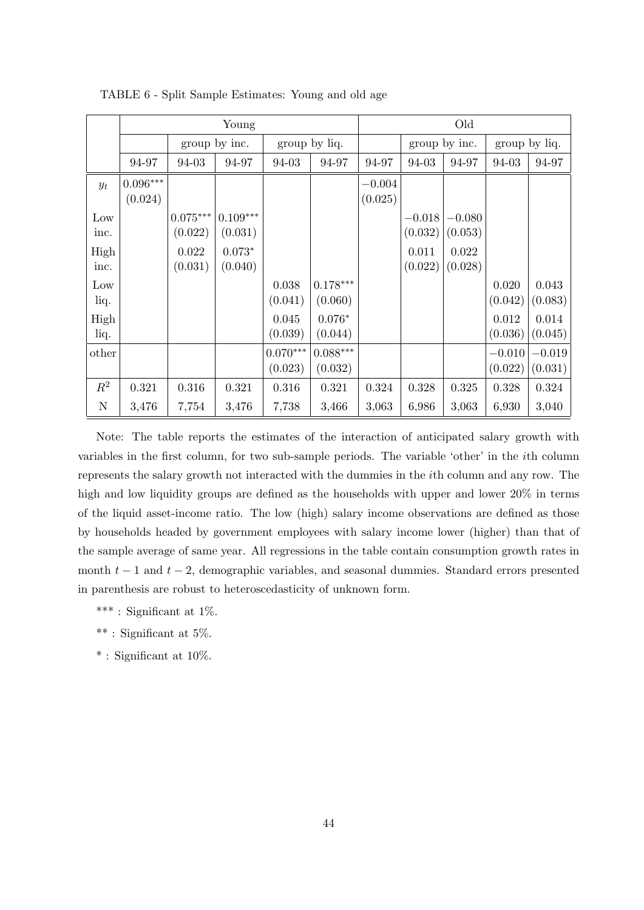|       | Young                  |            |               |            |               | Old      |               |          |               |          |
|-------|------------------------|------------|---------------|------------|---------------|----------|---------------|----------|---------------|----------|
|       |                        |            | group by inc. |            | group by liq. |          | group by inc. |          | group by liq. |          |
|       | 94-97                  | 94-03      | 94-97         | 94-03      | 94-97         | 94-97    | 94-03         | 94-97    | 94-03         | 94-97    |
| $y_t$ | $0.096^{\ast\ast\ast}$ |            |               |            |               | $-0.004$ |               |          |               |          |
|       | (0.024)                |            |               |            |               | (0.025)  |               |          |               |          |
| Low   |                        | $0.075***$ | $0.109***$    |            |               |          | $-0.018$      | $-0.080$ |               |          |
| inc.  |                        | (0.022)    | (0.031)       |            |               |          | (0.032)       | (0.053)  |               |          |
| High  |                        | 0.022      | $0.073*$      |            |               |          | 0.011         | 0.022    |               |          |
| inc.  |                        | (0.031)    | (0.040)       |            |               |          | (0.022)       | (0.028)  |               |          |
| Low   |                        |            |               | 0.038      | $0.178***$    |          |               |          | 0.020         | 0.043    |
| liq.  |                        |            |               | (0.041)    | (0.060)       |          |               |          | (0.042)       | (0.083)  |
| High  |                        |            |               | 0.045      | $0.076*$      |          |               |          | 0.012         | 0.014    |
| liq.  |                        |            |               | (0.039)    | (0.044)       |          |               |          | (0.036)       | (0.045)  |
| other |                        |            |               | $0.070***$ | $0.088***$    |          |               |          | $-0.010$      | $-0.019$ |
|       |                        |            |               | (0.023)    | (0.032)       |          |               |          | (0.022)       | (0.031)  |
| $R^2$ | 0.321                  | 0.316      | 0.321         | 0.316      | 0.321         | 0.324    | 0.328         | 0.325    | 0.328         | 0.324    |
| N     | 3,476                  | 7,754      | 3,476         | 7,738      | 3,466         | 3,063    | 6,986         | 3,063    | 6,930         | 3,040    |

TABLE 6 - Split Sample Estimates: Young and old age

Note: The table reports the estimates of the interaction of anticipated salary growth with variables in the first column, for two sub-sample periods. The variable 'other' in the ith column represents the salary growth not interacted with the dummies in the ith column and any row. The high and low liquidity groups are defined as the households with upper and lower  $20\%$  in terms of the liquid asset-income ratio. The low (high) salary income observations are defined as those by households headed by government employees with salary income lower (higher) than that of the sample average of same year. All regressions in the table contain consumption growth rates in month  $t-1$  and  $t-2$ , demographic variables, and seasonal dummies. Standard errors presented in parenthesis are robust to heteroscedasticity of unknown form.

\*\*\* : Significant at 1%.

\*\* : Significant at 5%.